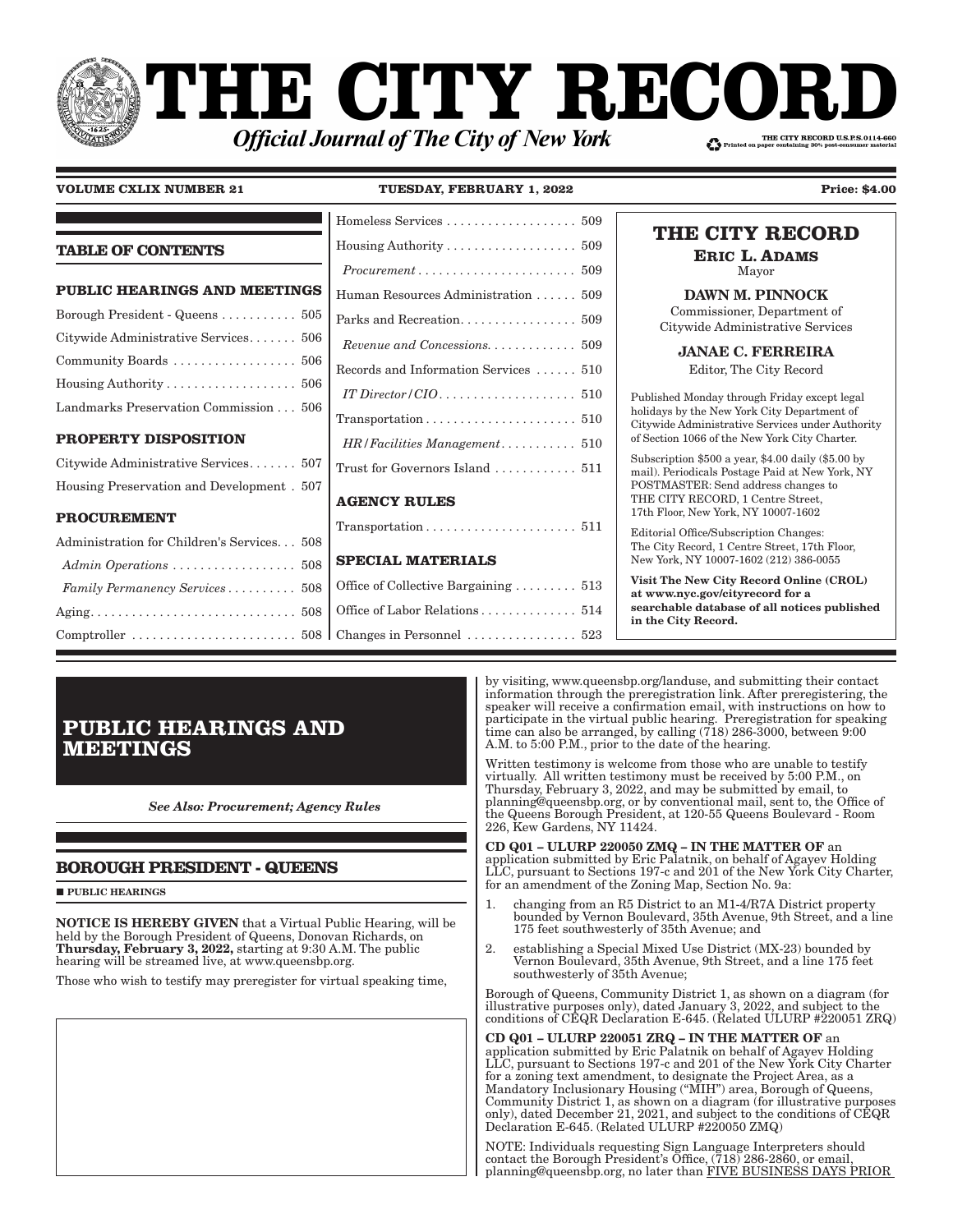# PHE CITY RECOI THE CITY RECORD U.S.P.S.0114-660 **Official Journal of The City of New York**

**VOLUME CXLIX NUMBER 21 TUESDAY, FEBRUARY 1, 2022 Price: \$4.00** 

| Housing Authority 509                                             | THE CITY RECORD<br><b>ERIC L. ADAMS</b>                                                                                                                                                                                                                                                                                                                                                                                                                                                               |
|-------------------------------------------------------------------|-------------------------------------------------------------------------------------------------------------------------------------------------------------------------------------------------------------------------------------------------------------------------------------------------------------------------------------------------------------------------------------------------------------------------------------------------------------------------------------------------------|
| $Procurrent \ldots \ldots \ldots \ldots \ldots \ldots \ldots 509$ | Mayor                                                                                                                                                                                                                                                                                                                                                                                                                                                                                                 |
| Human Resources Administration  509                               | <b>DAWN M. PINNOCK</b>                                                                                                                                                                                                                                                                                                                                                                                                                                                                                |
|                                                                   | Commissioner, Department of<br>Citywide Administrative Services                                                                                                                                                                                                                                                                                                                                                                                                                                       |
|                                                                   | <b>JANAE C. FERREIRA</b>                                                                                                                                                                                                                                                                                                                                                                                                                                                                              |
| Records and Information Services  510                             | Editor, The City Record                                                                                                                                                                                                                                                                                                                                                                                                                                                                               |
|                                                                   | Published Monday through Friday except legal                                                                                                                                                                                                                                                                                                                                                                                                                                                          |
|                                                                   | holidays by the New York City Department of<br>Citywide Administrative Services under Authority                                                                                                                                                                                                                                                                                                                                                                                                       |
|                                                                   | of Section 1066 of the New York City Charter.                                                                                                                                                                                                                                                                                                                                                                                                                                                         |
| Trust for Governors Island  511                                   | Subscription \$500 a year, \$4.00 daily (\$5.00 by<br>mail). Periodicals Postage Paid at New York, NY                                                                                                                                                                                                                                                                                                                                                                                                 |
|                                                                   | POSTMASTER: Send address changes to                                                                                                                                                                                                                                                                                                                                                                                                                                                                   |
| <b>AGENCY RULES</b>                                               | THE CITY RECORD, 1 Centre Street,<br>17th Floor, New York, NY 10007-1602                                                                                                                                                                                                                                                                                                                                                                                                                              |
|                                                                   | Editorial Office/Subscription Changes:                                                                                                                                                                                                                                                                                                                                                                                                                                                                |
|                                                                   | The City Record, 1 Centre Street, 17th Floor,                                                                                                                                                                                                                                                                                                                                                                                                                                                         |
|                                                                   | New York, NY 10007-1602 (212) 386-0055                                                                                                                                                                                                                                                                                                                                                                                                                                                                |
| Office of Collective Bargaining 513                               | Visit The New City Record Online (CROL)<br>at www.nyc.gov/cityrecord for a                                                                                                                                                                                                                                                                                                                                                                                                                            |
|                                                                   | searchable database of all notices published<br>in the City Record.                                                                                                                                                                                                                                                                                                                                                                                                                                   |
|                                                                   |                                                                                                                                                                                                                                                                                                                                                                                                                                                                                                       |
|                                                                   | <b>PUBLIC HEARINGS AND MEETINGS</b><br>Borough President - Queens $\ldots \ldots \ldots 505$<br>Citywide Administrative Services 506<br>Housing Authority $\ldots \ldots \ldots \ldots \ldots 506$<br>Landmarks Preservation Commission 506<br>HR/Facilities Management 510<br>Citywide Administrative Services 507<br>Housing Preservation and Development. 507<br>Administration for Children's Services 508<br><b>SPECIAL MATERIALS</b><br>Admin Operations  508<br>Family Permanency Services 508 |

# **PUBLIC HEARINGS AND MEETINGS**

*See Also: Procurement; Agency Rules*

### **BOROUGH PRESIDENT - QUEENS**

**PUBLIC HEARINGS** 

NOTICE IS HEREBY GIVEN that a Virtual Public Hearing, will be held by the Borough President of Queens, Donovan Richards, on Thursday, February 3, 2022, starting at 9:30 A.M. The public hearing will be streamed live, at www.queensbp.org.

Those who wish to testify may preregister for virtual speaking time,

by visiting, www.queensbp.org/landuse, and submitting their contact information through the preregistration link. After preregistering, the speaker will receive a confirmation email, with instructions on how to participate in the virtual public hearing. Preregistration for speaking time can also be arranged, by calling (718) 286-3000, between 9:00 A.M. to 5:00 P.M., prior to the date of the hearing.

Written testimony is welcome from those who are unable to testify virtually. All written testimony must be received by 5:00 P.M., on Thursday, February 3, 2022, and may be submitted by email, to planning@queensbp.org, or by conventional mail, sent to, the Office of the Queens Borough President, at 120-55 Queens Boulevard - Room 226, Kew Gardens, NY 11424.

CD Q01 – ULURP 220050 ZMQ – IN THE MATTER OF an application submitted by Eric Palatnik, on behalf of Agayev Holding LLC, pursuant to Sections 197-c and 201 of the New York City Charter, for an amendment of the Zoning Map, Section No. 9a:

- 1. changing from an R5 District to an M1-4/R7A District property bounded by Vernon Boulevard, 35th Avenue, 9th Street, and a line 175 feet southwesterly of 35th Avenue; and
- 2. establishing a Special Mixed Use District (MX-23) bounded by Vernon Boulevard, 35th Avenue, 9th Street, and a line 175 feet southwesterly of 35th Avenue;

Borough of Queens, Community District 1, as shown on a diagram (for illustrative purposes only), dated January 3, 2022, and subject to the conditions of CEQR Declaration E-645. (Related ULURP #220051 ZRQ)

CD Q01 – ULURP 220051 ZRQ – IN THE MATTER OF an application submitted by Eric Palatnik on behalf of Agayev Holding LLC, pursuant to Sections 197-c and 201 of the New York City Charter for a zoning text amendment, to designate the Project Area, as a Mandatory Inclusionary Housing ("MIH") area, Borough of Queens, Community District 1, as shown on a diagram (for illustrative purposes only), dated December 21, 2021, and subject to the conditions of CEQR Declaration E-645. (Related ULURP #220050 ZMQ)

NOTE: Individuals requesting Sign Language Interpreters should contact the Borough President's Office, (718) 286-2860, or email, planning@queensbp.org, no later than FIVE BUSINESS DAYS PRIOR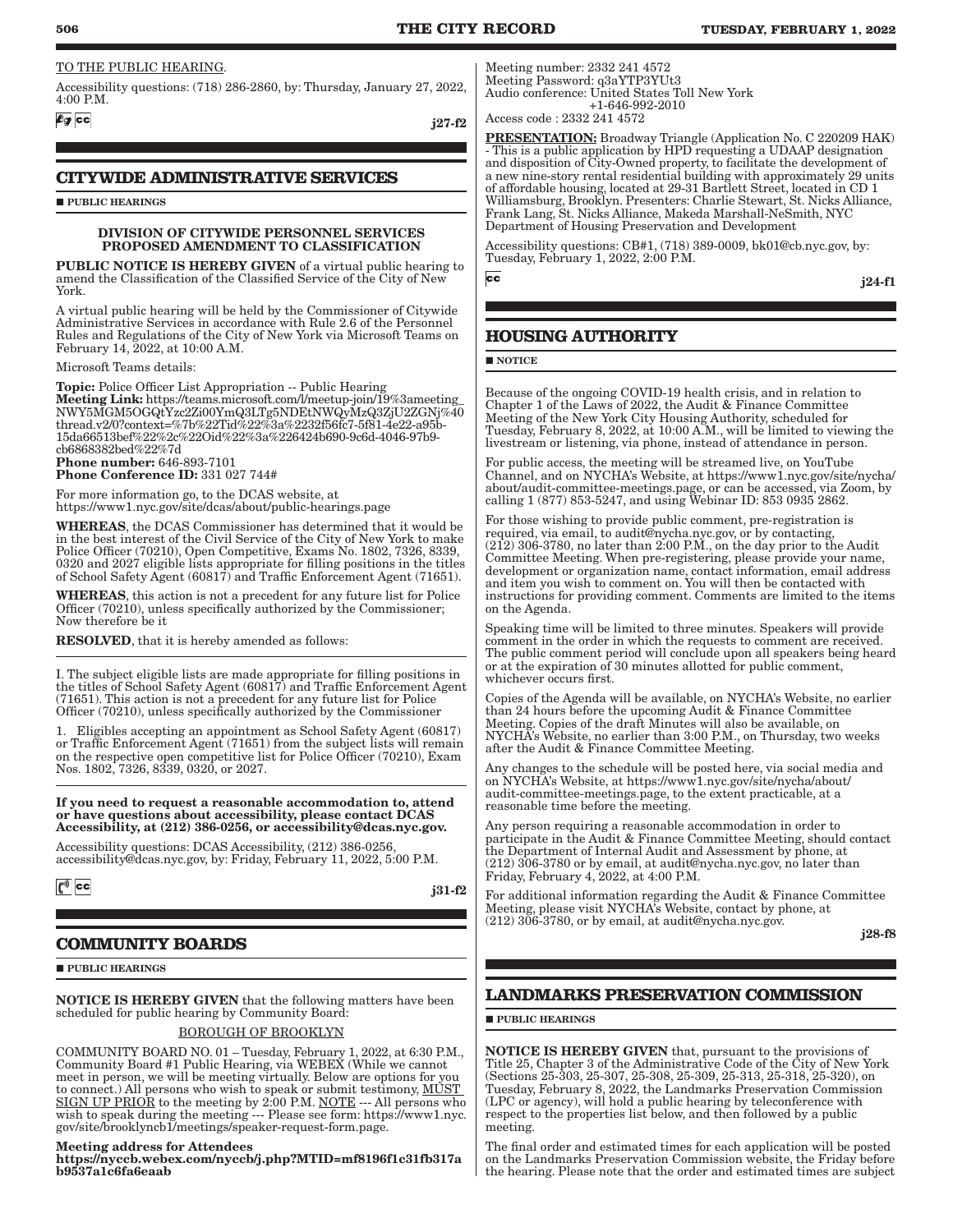### TO THE PUBLIC HEARING.

Accessibility questions: (718) 286-2860, by: Thursday, January 27, 2022, 4:00 P.M.

**Eg** cc

j27-f2

## **CITYWIDE ADMINISTRATIVE SERVICES**

**PUBLIC HEARINGS** 

### DIVISION OF CITYWIDE PERSONNEL SERVICES PROPOSED AMENDMENT TO CLASSIFICATION

PUBLIC NOTICE IS HEREBY GIVEN of a virtual public hearing to amend the Classification of the Classified Service of the City of New York.

A virtual public hearing will be held by the Commissioner of Citywide Administrative Services in accordance with Rule 2.6 of the Personnel Rules and Regulations of the City of New York via Microsoft Teams on February 14, 2022, at 10:00 A.M.

Microsoft Teams details:

**Topic:** Police Officer List Appropriation -- Public Hearing Meeting Link: https://teams.microsoft.com/l/meetup-join/19%3ameeting\_ NWY5MGM5OGQtYzc2Zi00YmQ3LTg5NDEtNWQyMzQ3ZjU2ZGNj%40 thread.v2/0?context=%7b%22Tid%22%3a%2232f56fc7-5f81-4e22-a95b-15da66513bef%22%2c%22Oid%22%3a%226424b690-9c6d-4046-97b9 cb6868382bed%22%7d Phone number: 646-893-7101

Phone Conference ID: 331 027 744#

For more information go, to the DCAS website, at https://www1.nyc.gov/site/dcas/about/public-hearings.page

WHEREAS, the DCAS Commissioner has determined that it would be in the best interest of the Civil Service of the City of New York to make Police Officer (70210), Open Competitive, Exams No. 1802, 7326, 8339, 0320 and 2027 eligible lists appropriate for filling positions in the titles of School Safety Agent (60817) and Traffic Enforcement Agent (71651).

WHEREAS, this action is not a precedent for any future list for Police Officer (70210), unless specifically authorized by the Commissioner; Now therefore be it

RESOLVED, that it is hereby amended as follows:

I. The subject eligible lists are made appropriate for filling positions in the titles of School Safety Agent (60817) and Traffic Enforcement Agent (71651). This action is not a precedent for any future list for Police Officer (70210), unless specifically authorized by the Commissioner

1. Eligibles accepting an appointment as School Safety Agent (60817) or Traffic Enforcement Agent (71651) from the subject lists will remain on the respective open competitive list for Police Officer (70210), Exam Nos. 1802, 7326, 8339, 0320, or 2027.

If you need to request a reasonable accommodation to, attend or have questions about accessibility, please contact DCAS Accessibility, at (212) 386-0256, or accessibility@dcas.nyc.gov.

Accessibility questions: DCAS Accessibility, (212) 386-0256, accessibility@dcas.nyc.gov, by: Friday, February 11, 2022, 5:00 P.M.

 $\mathbf{C}^{\mathbf{\emptyset}}$  cc

j31-f2

### **COMMUNITY BOARDS**

**PUBLIC HEARINGS** 

NOTICE IS HEREBY GIVEN that the following matters have been scheduled for public hearing by Community Board:

### BOROUGH OF BROOKLYN

COMMUNITY BOARD NO. 01 – Tuesday, February 1, 2022, at 6:30 P.M., Community Board #1 Public Hearing, via WEBEX (While we cannot meet in person, we will be meeting virtually. Below are options for you to connect.) All persons who wish to speak or submit testimony, MUST SIGN UP PRIOR to the meeting by 2:00 P.M. NOTE --- All persons who wish to speak during the meeting --- Please see form: https://www1.nyc. gov/site/brooklyncb1/meetings/speaker-request-form.page.

#### Meeting address for Attendees

https://nyccb.webex.com/nyccb/j.php?MTID=mf8196f1c31fb317a b9537a1c6fa6eaab

Meeting number: 2332 241 4572 Meeting Password: q3aYTP3YUt3 Audio conference: United States Toll New York +1-646-992-2010

Access code : 2332 241 4572

PRESENTATION: Broadway Triangle (Application No. C 220209 HAK) - This is a public application by HPD requesting a UDAAP designation and disposition of City-Owned property, to facilitate the development of a new nine-story rental residential building with approximately 29 units of affordable housing, located at 29-31 Bartlett Street, located in CD 1 Williamsburg, Brooklyn. Presenters: Charlie Stewart, St. Nicks Alliance, Frank Lang, St. Nicks Alliance, Makeda Marshall-NeSmith, NYC Department of Housing Preservation and Development

Accessibility questions: CB#1, (718) 389-0009, bk01@cb.nyc.gov, by: Tuesday, February 1, 2022, 2:00 P.M.

 $cc$ 

j24-f1

### **HOUSING AUTHORITY**

### **NOTICE**

Because of the ongoing COVID-19 health crisis, and in relation to Chapter 1 of the Laws of 2022, the Audit & Finance Committee Meeting of the New York City Housing Authority, scheduled for Tuesday, February 8, 2022, at 10:00 A.M., will be limited to viewing the livestream or listening, via phone, instead of attendance in person.

For public access, the meeting will be streamed live, on YouTube Channel, and on NYCHA's Website, at https://www1.nyc.gov/site/nycha/ about/audit-committee-meetings.page, or can be accessed, via Zoom, by calling 1 (877) 853-5247, and using Webinar ID: 853 0935 2862.

For those wishing to provide public comment, pre-registration is required, via email, to audit@nycha.nyc.gov, or by contacting,  $(212)$  306-3780, no later than  $2:00$  P.M., on the day prior to the Audit Committee Meeting. When pre-registering, please provide your name, development or organization name, contact information, email address and item you wish to comment on. You will then be contacted with instructions for providing comment. Comments are limited to the items on the Agenda.

Speaking time will be limited to three minutes. Speakers will provide comment in the order in which the requests to comment are received. The public comment period will conclude upon all speakers being heard or at the expiration of 30 minutes allotted for public comment, whichever occurs first.

Copies of the Agenda will be available, on NYCHA's Website, no earlier than 24 hours before the upcoming Audit & Finance Committee Meeting. Copies of the draft Minutes will also be available, on NYCHA's Website, no earlier than 3:00 P.M., on Thursday, two weeks after the Audit & Finance Committee Meeting.

Any changes to the schedule will be posted here, via social media and on NYCHA's Website, at https://www1.nyc.gov/site/nycha/about/ audit-committee-meetings.page, to the extent practicable, at a reasonable time before the meeting.

Any person requiring a reasonable accommodation in order to participate in the Audit & Finance Committee Meeting, should contact the Department of Internal Audit and Assessment by phone, at (212) 306-3780 or by email, at audit@nycha.nyc.gov, no later than Friday, February 4, 2022, at 4:00 P.M.

For additional information regarding the Audit & Finance Committee Meeting, please visit NYCHA's Website, contact by phone, at (212) 306-3780, or by email, at audit@nycha.nyc.gov.

j28-f8

### **LANDMARKS PRESERVATION COMMISSION**

### **PUBLIC HEARINGS**

NOTICE IS HEREBY GIVEN that, pursuant to the provisions of Title 25, Chapter 3 of the Administrative Code of the City of New York (Sections 25-303, 25-307, 25-308, 25-309, 25-313, 25-318, 25-320), on Tuesday, February 8, 2022, the Landmarks Preservation Commission (LPC or agency), will hold a public hearing by teleconference with respect to the properties list below, and then followed by a public meeting.

The final order and estimated times for each application will be posted on the Landmarks Preservation Commission website, the Friday before the hearing. Please note that the order and estimated times are subject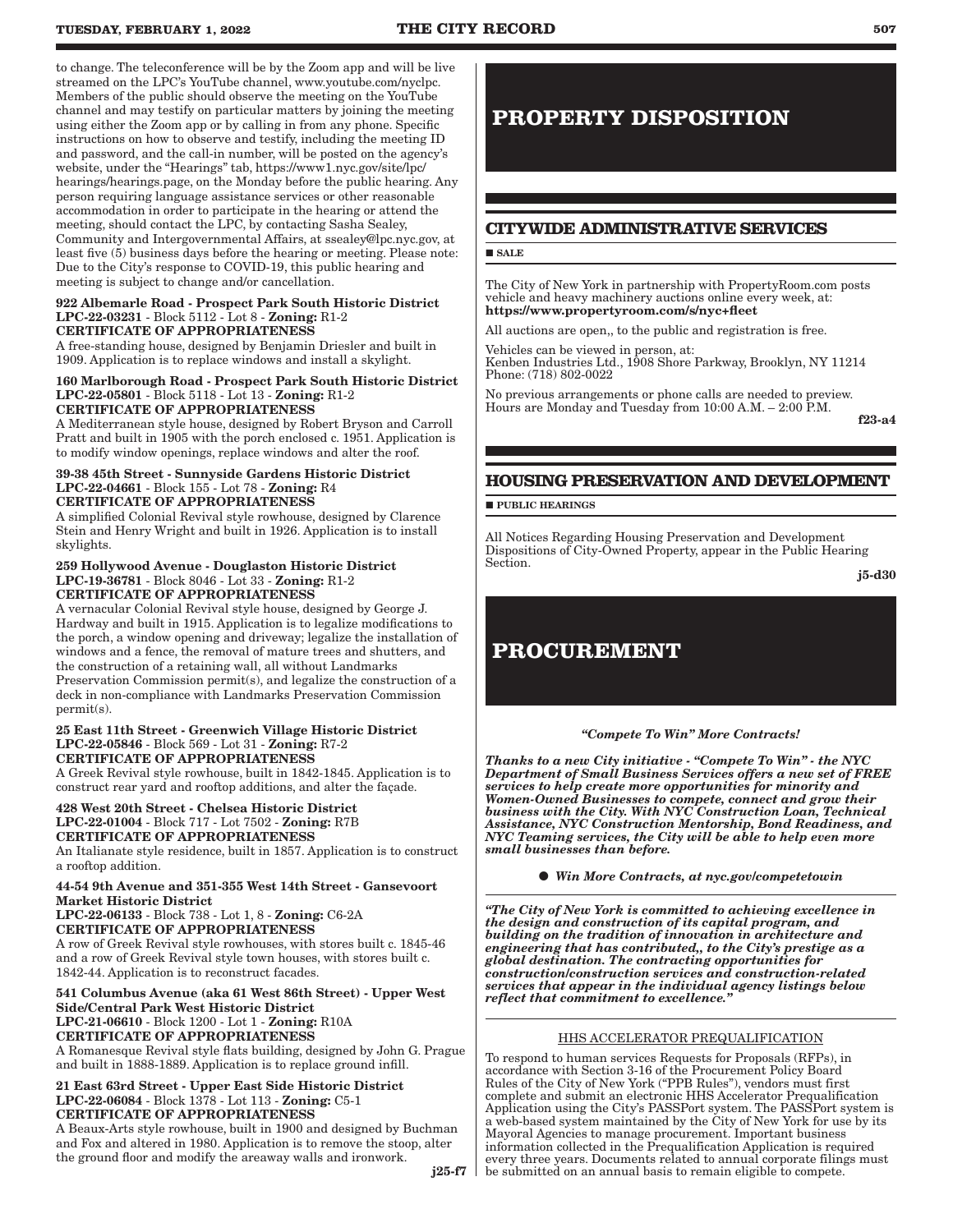to change. The teleconference will be by the Zoom app and will be live streamed on the LPC's YouTube channel, www.youtube.com/nyclpc. Members of the public should observe the meeting on the YouTube channel and may testify on particular matters by joining the meeting using either the Zoom app or by calling in from any phone. Specific instructions on how to observe and testify, including the meeting ID and password, and the call-in number, will be posted on the agency's website, under the "Hearings" tab, https://www1.nyc.gov/site/lpc/ hearings/hearings.page, on the Monday before the public hearing. Any person requiring language assistance services or other reasonable accommodation in order to participate in the hearing or attend the meeting, should contact the LPC, by contacting Sasha Sealey, Community and Intergovernmental Affairs, at ssealey@lpc.nyc.gov, at least five (5) business days before the hearing or meeting. Please note: Due to the City's response to COVID-19, this public hearing and meeting is subject to change and/or cancellation.

### 922 Albemarle Road - Prospect Park South Historic District LPC-22-03231 - Block 5112 - Lot 8 - Zoning: R1-2 CERTIFICATE OF APPROPRIATENESS

A free-standing house, designed by Benjamin Driesler and built in 1909. Application is to replace windows and install a skylight.

### 160 Marlborough Road - Prospect Park South Historic District LPC-22-05801 - Block 5118 - Lot 13 - Zoning: R1-2 CERTIFICATE OF APPROPRIATENESS

A Mediterranean style house, designed by Robert Bryson and Carroll Pratt and built in 1905 with the porch enclosed c. 1951. Application is to modify window openings, replace windows and alter the roof.

### 39-38 45th Street - Sunnyside Gardens Historic District LPC-22-04661 - Block 155 - Lot 78 - Zoning: R4 CERTIFICATE OF APPROPRIATENESS

A simplified Colonial Revival style rowhouse, designed by Clarence Stein and Henry Wright and built in 1926. Application is to install skylights.

### 259 Hollywood Avenue - Douglaston Historic District LPC-19-36781 - Block 8046 - Lot 33 - Zoning: R1-2 CERTIFICATE OF APPROPRIATENESS

A vernacular Colonial Revival style house, designed by George J. Hardway and built in 1915. Application is to legalize modifications to the porch, a window opening and driveway; legalize the installation of windows and a fence, the removal of mature trees and shutters, and the construction of a retaining wall, all without Landmarks Preservation Commission permit(s), and legalize the construction of a deck in non-compliance with Landmarks Preservation Commission permit(s).

### 25 East 11th Street - Greenwich Village Historic District LPC-22-05846 - Block 569 - Lot 31 - Zoning: R7-2 CERTIFICATE OF APPROPRIATENESS

A Greek Revival style rowhouse, built in 1842-1845. Application is to construct rear yard and rooftop additions, and alter the façade.

#### 428 West 20th Street - Chelsea Historic District LPC-22-01004 - Block 717 - Lot 7502 - Zoning: R7B CERTIFICATE OF APPROPRIATENESS

An Italianate style residence, built in 1857. Application is to construct a rooftop addition.

### 44-54 9th Avenue and 351-355 West 14th Street - Gansevoort Market Historic District

LPC-22-06133 - Block 738 - Lot 1, 8 - Zoning: C6-2A CERTIFICATE OF APPROPRIATENESS

A row of Greek Revival style rowhouses, with stores built c. 1845-46 and a row of Greek Revival style town houses, with stores built c. 1842-44. Application is to reconstruct facades.

### 541 Columbus Avenue (aka 61 West 86th Street) - Upper West Side/Central Park West Historic District LPC-21-06610 - Block 1200 - Lot 1 - Zoning: R10A CERTIFICATE OF APPROPRIATENESS

A Romanesque Revival style flats building, designed by John G. Prague and built in 1888-1889. Application is to replace ground infill.

### 21 East 63rd Street - Upper East Side Historic District LPC-22-06084 - Block 1378 - Lot 113 - Zoning: C5-1 CERTIFICATE OF APPROPRIATENESS

A Beaux-Arts style rowhouse, built in 1900 and designed by Buchman and Fox and altered in 1980. Application is to remove the stoop, alter the ground floor and modify the areaway walls and ironwork.

# **PROPERTY DISPOSITION**

### **CITYWIDE ADMINISTRATIVE SERVICES**

### **SALE**

The City of New York in partnership with PropertyRoom.com posts vehicle and heavy machinery auctions online every week, at: https://www.propertyroom.com/s/nyc+fleet

All auctions are open,, to the public and registration is free.

Vehicles can be viewed in person, at: Kenben Industries Ltd., 1908 Shore Parkway, Brooklyn, NY 11214 Phone: (718) 802-0022

No previous arrangements or phone calls are needed to preview. Hours are Monday and Tuesday from 10:00 A.M. - 2:00 P.M.

f23-a4

## **HOUSING PRESERVATION AND DEVELOPMENT**

**PUBLIC HEARINGS** 

All Notices Regarding Housing Preservation and Development Dispositions of City-Owned Property, appear in the Public Hearing Section.

j5-d30

# **PROCUREMENT**

### *"Compete To Win" More Contracts!*

*Thanks to a new City initiative - "Compete To Win" - the NYC Department of Small Business Services offers a new set of FREE services to help create more opportunities for minority and Women-Owned Businesses to compete, connect and grow their business with the City. With NYC Construction Loan, Technical Assistance, NYC Construction Mentorship, Bond Readiness, and NYC Teaming services, the City will be able to help even more small businesses than before.*

*Win More Contracts, at nyc.gov/competetowin*

*"The City of New York is committed to achieving excellence in the design and construction of its capital program, and building on the tradition of innovation in architecture and engineering that has contributed,, to the City's prestige as a global destination. The contracting opportunities for construction/construction services and construction-related services that appear in the individual agency listings below reflect that commitment to excellence."*

### HHS ACCELERATOR PREQUALIFICATION

To respond to human services Requests for Proposals (RFPs), in accordance with Section 3-16 of the Procurement Policy Board Rules of the City of New York ("PPB Rules"), vendors must first complete and submit an electronic HHS Accelerator Prequalification Application using the City's PASSPort system. The PASSPort system is a web-based system maintained by the City of New York for use by its Mayoral Agencies to manage procurement. Important business information collected in the Prequalification Application is required every three years. Documents related to annual corporate filings must be submitted on an annual basis to remain eligible to compete.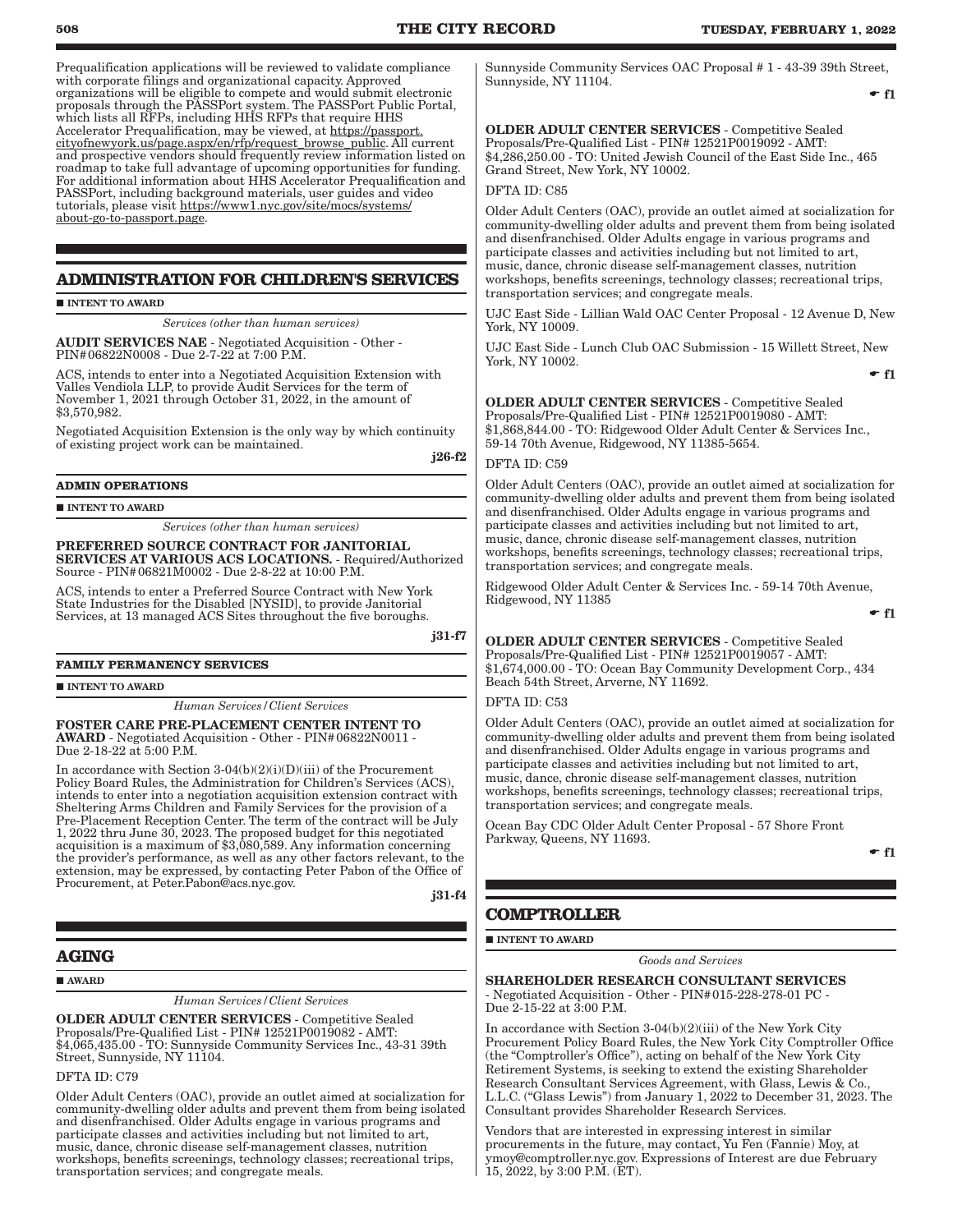Prequalification applications will be reviewed to validate compliance with corporate filings and organizational capacity. Approved organizations will be eligible to compete and would submit electronic proposals through the PASSPort system. The PASSPort Public Portal, which lists all RFPs, including HHS RFPs that require HHS Accelerator Prequalification, may be viewed, at https://passport. cityofnewyork.us/page.aspx/en/rfp/request\_browse\_public. All current and prospective vendors should frequently review information listed on roadmap to take full advantage of upcoming opportunities for funding. For additional information about HHS Accelerator Prequalification and PASSPort, including background materials, user guides and video tutorials, please visit https://www1.nyc.gov/site/mocs/systems/ about-go-to-passport.page.

### **ADMINISTRATION FOR CHILDREN'S SERVICES**

**INTENT TO AWARD** 

*Services (other than human services)*

AUDIT SERVICES NAE - Negotiated Acquisition - Other - PIN#06822N0008 - Due 2-7-22 at 7:00 P.M.

ACS, intends to enter into a Negotiated Acquisition Extension with Valles Vendiola LLP, to provide Audit Services for the term of November 1, 2021 through October 31, 2022, in the amount of \$3,570,982.

Negotiated Acquisition Extension is the only way by which continuity of existing project work can be maintained.

j26-f2

### **ADMIN OPERATIONS**

INTENT TO AWARD

*Services (other than human services)*

PREFERRED SOURCE CONTRACT FOR JANITORIAL SERVICES AT VARIOUS ACS LOCATIONS. - Required/Authorized Source - PIN#06821M0002 - Due 2-8-22 at 10:00 P.M.

ACS, intends to enter a Preferred Source Contract with New York State Industries for the Disabled [NYSID], to provide Janitorial Services, at 13 managed ACS Sites throughout the five boroughs.

j31-f7

### **FAMILY PERMANENCY SERVICES**

 $\blacksquare$ INTENT TO AWARD

*Human Services/Client Services*

FOSTER CARE PRE-PLACEMENT CENTER INTENT TO AWARD - Negotiated Acquisition - Other - PIN#06822N0011 - Due 2-18-22 at 5:00 P.M.

In accordance with Section 3-04(b)(2)(i)(D)(iii) of the Procurement Policy Board Rules, the Administration for Children's Services (ACS), intends to enter into a negotiation acquisition extension contract with Sheltering Arms Children and Family Services for the provision of a Pre-Placement Reception Center. The term of the contract will be July 1, 2022 thru June 30, 2023. The proposed budget for this negotiated acquisition is a maximum of \$3,080,589. Any information concerning the provider's performance, as well as any other factors relevant, to the extension, may be expressed, by contacting Peter Pabon of the Office of Procurement, at Peter.Pabon@acs.nyc.gov.

j31-f4

### **AGING**

AWARD

*Human Services/Client Services*

OLDER ADULT CENTER SERVICES - Competitive Sealed Proposals/Pre-Qualified List - PIN# 12521P0019082 - AMT: \$4,065,435.00 - TO: Sunnyside Community Services Inc., 43-31 39th Street, Sunnyside, NY 11104.

DFTA ID: C79

Older Adult Centers (OAC), provide an outlet aimed at socialization for community-dwelling older adults and prevent them from being isolated and disenfranchised. Older Adults engage in various programs and participate classes and activities including but not limited to art, music, dance, chronic disease self-management classes, nutrition workshops, benefits screenings, technology classes; recreational trips, transportation services; and congregate meals.

Sunnyside Community Services OAC Proposal # 1 - 43-39 39th Street, Sunnyside, NY 11104.

 $\div$  f1

OLDER ADULT CENTER SERVICES - Competitive Sealed Proposals/Pre-Qualified List - PIN# 12521P0019092 - AMT: \$4,286,250.00 - TO: United Jewish Council of the East Side Inc., 465 Grand Street, New York, NY 10002.

### DFTA ID: C85

Older Adult Centers (OAC), provide an outlet aimed at socialization for community-dwelling older adults and prevent them from being isolated and disenfranchised. Older Adults engage in various programs and participate classes and activities including but not limited to art, music, dance, chronic disease self-management classes, nutrition workshops, benefits screenings, technology classes; recreational trips, transportation services; and congregate meals.

UJC East Side - Lillian Wald OAC Center Proposal - 12 Avenue D, New York, NY 10009.

UJC East Side - Lunch Club OAC Submission - 15 Willett Street, New York, NY 10002.

 $\div$  f1

OLDER ADULT CENTER SERVICES - Competitive Sealed Proposals/Pre-Qualified List - PIN# 12521P0019080 - AMT: \$1,868,844.00 - TO: Ridgewood Older Adult Center & Services Inc., 59-14 70th Avenue, Ridgewood, NY 11385-5654.

### DFTA ID: C59

Older Adult Centers (OAC), provide an outlet aimed at socialization for community-dwelling older adults and prevent them from being isolated and disenfranchised. Older Adults engage in various programs and participate classes and activities including but not limited to art, music, dance, chronic disease self-management classes, nutrition workshops, benefits screenings, technology classes; recreational trips, transportation services; and congregate meals.

Ridgewood Older Adult Center & Services Inc. - 59-14 70th Avenue, Ridgewood, NY 11385

 $-$ f1

OLDER ADULT CENTER SERVICES - Competitive Sealed Proposals/Pre-Qualified List - PIN# 12521P0019057 - AMT:

\$1,674,000.00 - TO: Ocean Bay Community Development Corp., 434 Beach 54th Street, Arverne, NY 11692.

### DFTA ID: C53

Older Adult Centers (OAC), provide an outlet aimed at socialization for community-dwelling older adults and prevent them from being isolated and disenfranchised. Older Adults engage in various programs and participate classes and activities including but not limited to art, music, dance, chronic disease self-management classes, nutrition workshops, benefits screenings, technology classes; recreational trips, transportation services; and congregate meals.

Ocean Bay CDC Older Adult Center Proposal - 57 Shore Front Parkway, Queens, NY 11693.

 $-$ f1

### **COMPTROLLER**

**INTENT TO AWARD** 

*Goods and Services*

SHAREHOLDER RESEARCH CONSULTANT SERVICES - Negotiated Acquisition - Other - PIN#015-228-278-01 PC - Due 2-15-22 at 3:00 P.M.

In accordance with Section 3-04(b)(2)(iii) of the New York City Procurement Policy Board Rules, the New York City Comptroller Office (the "Comptroller's Office"), acting on behalf of the New York City Retirement Systems, is seeking to extend the existing Shareholder Research Consultant Services Agreement, with Glass, Lewis & Co., L.L.C. ("Glass Lewis") from January 1, 2022 to December 31, 2023. The Consultant provides Shareholder Research Services.

Vendors that are interested in expressing interest in similar procurements in the future, may contact, Yu Fen (Fannie) Moy, at ymoy@comptroller.nyc.gov. Expressions of Interest are due February 15, 2022, by 3:00 P.M. (ET).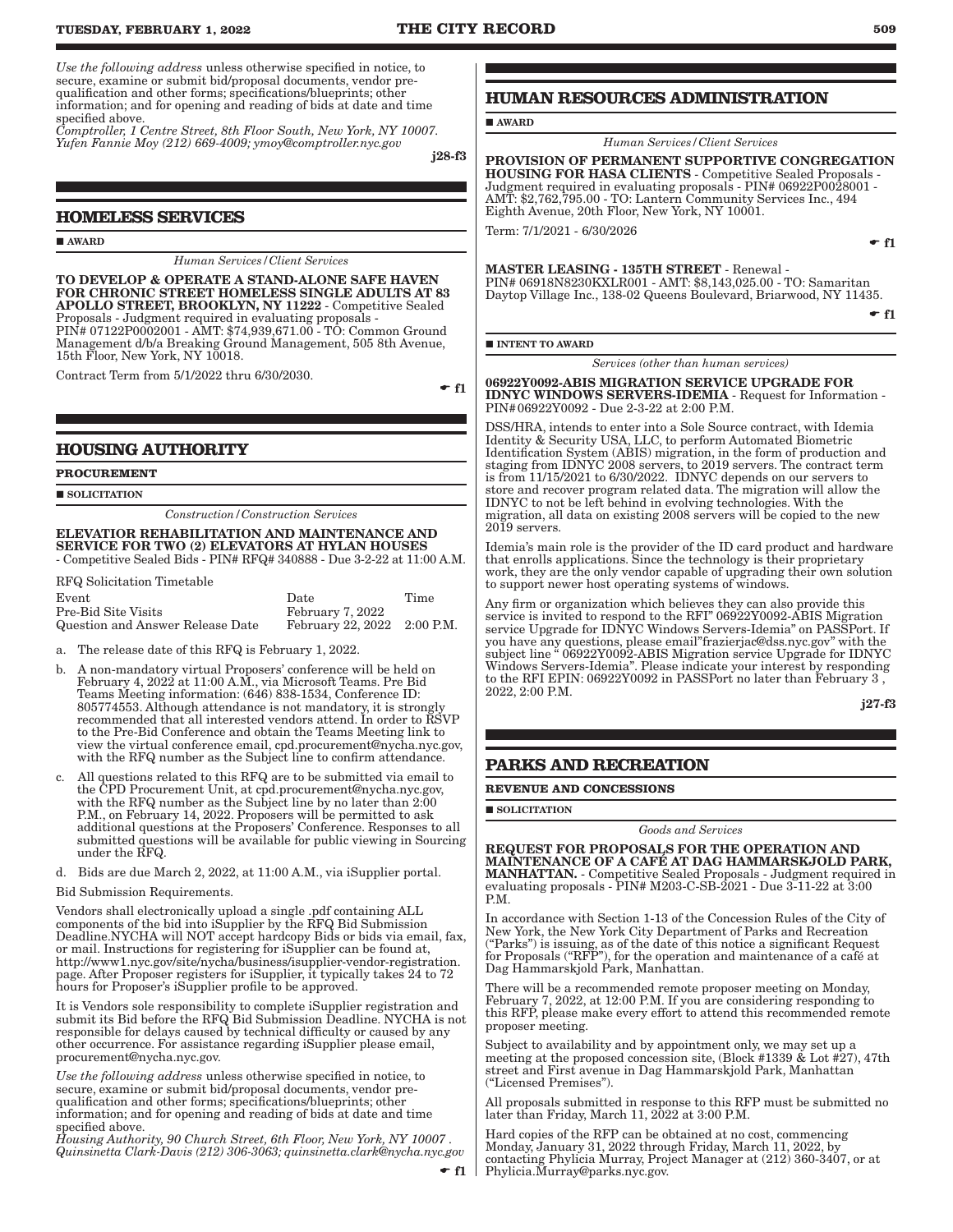*Use the following address* unless otherwise specified in notice, to secure, examine or submit bid/proposal documents, vendor prequalification and other forms; specifications/blueprints; other information; and for opening and reading of bids at date and time specified above.

*Comptroller, 1 Centre Street, 8th Floor South, New York, NY 10007. Yufen Fannie Moy (212) 669-4009; ymoy@comptroller.nyc.gov*

j28-f3

### **HOMELESS SERVICES**

**AWARD** 

*Human Services/Client Services*

TO DEVELOP & OPERATE A STAND-ALONE SAFE HAVEN FOR CHRONIC STREET HOMELESS SINGLE ADULTS AT 83 APOLLO STREET, BROOKLYN, NY 11222 - Competitive Sealed Proposals - Judgment required in evaluating proposals - PIN# 07122P0002001 - AMT: \$74,939,671.00 - TO: Common Ground Management d/b/a Breaking Ground Management, 505 8th Avenue, 15th Floor, New York, NY 10018.

Contract Term from 5/1/2022 thru 6/30/2030.

 $\bullet$  f1

### **HOUSING AUTHORITY**

### **PROCUREMENT**

**SOLICITATION** 

*Construction/Construction Services*

### ELEVATIOR REHABILITATION AND MAINTENANCE AND SERVICE FOR TWO (2) ELEVATORS AT HYLAN HOUSES - Competitive Sealed Bids - PIN# RFQ# 340888 - Due 3-2-22 at 11:00 A.M.

RFQ Solicitation Timetable

| $\frac{1}{2}$ $\frac{1}{2}$ $\frac{1}{2}$ $\frac{1}{2}$ $\frac{1}{2}$ $\frac{1}{2}$ $\frac{1}{2}$ $\frac{1}{2}$ $\frac{1}{2}$ $\frac{1}{2}$ $\frac{1}{2}$ $\frac{1}{2}$ $\frac{1}{2}$ $\frac{1}{2}$ $\frac{1}{2}$ $\frac{1}{2}$ $\frac{1}{2}$ $\frac{1}{2}$ $\frac{1}{2}$ $\frac{1}{2}$ $\frac{1}{2}$ $\frac{1}{2}$ |                             |      |
|---------------------------------------------------------------------------------------------------------------------------------------------------------------------------------------------------------------------------------------------------------------------------------------------------------------------|-----------------------------|------|
| Event                                                                                                                                                                                                                                                                                                               | Date                        | Time |
| Pre-Bid Site Visits                                                                                                                                                                                                                                                                                                 | February 7, 2022            |      |
| Question and Answer Release Date                                                                                                                                                                                                                                                                                    | February 22, 2022 2:00 P.M. |      |

a. The release date of this RFQ is February 1, 2022.

- b. A non-mandatory virtual Proposers' conference will be held on February 4, 2022 at 11:00 A.M., via Microsoft Teams. Pre Bid Teams Meeting information: (646) 838-1534, Conference ID: 805774553. Although attendance is not mandatory, it is strongly recommended that all interested vendors attend. In order to RSVP to the Pre-Bid Conference and obtain the Teams Meeting link to view the virtual conference email, cpd.procurement@nycha.nyc.gov, with the RFQ number as the Subject line to confirm attendance.
- c. All questions related to this RFQ are to be submitted via email to the CPD Procurement Unit, at cpd.procurement@nycha.nyc.gov, with the RFQ number as the Subject line by no later than 2:00 P.M., on February 14, 2022. Proposers will be permitted to ask additional questions at the Proposers' Conference. Responses to all submitted questions will be available for public viewing in Sourcing under the RFQ.
- d. Bids are due March 2, 2022, at 11:00 A.M., via iSupplier portal.

Bid Submission Requirements.

Vendors shall electronically upload a single .pdf containing ALL components of the bid into iSupplier by the RFQ Bid Submission Deadline.NYCHA will NOT accept hardcopy Bids or bids via email, fax, or mail. Instructions for registering for iSupplier can be found at, http://www1.nyc.gov/site/nycha/business/isupplier-vendor-registration. page. After Proposer registers for iSupplier, it typically takes 24 to 72 hours for Proposer's iSupplier profile to be approved.

It is Vendors sole responsibility to complete iSupplier registration and submit its Bid before the RFQ Bid Submission Deadline. NYCHA is not responsible for delays caused by technical difficulty or caused by any other occurrence. For assistance regarding iSupplier please email, procurement@nycha.nyc.gov.

*Use the following address* unless otherwise specified in notice, to secure, examine or submit bid/proposal documents, vendor prequalification and other forms; specifications/blueprints; other information; and for opening and reading of bids at date and time specified above.

*Housing Authority, 90 Church Street, 6th Floor, New York, NY 10007 . Quinsinetta Clark-Davis (212) 306-3063; quinsinetta.clark@nycha.nyc.gov*

 $f1$ 

## **HUMAN RESOURCES ADMINISTRATION**

**AWARD** 

*Human Services/Client Services*

PROVISION OF PERMANENT SUPPORTIVE CONGREGATION HOUSING FOR HASA CLIENTS - Competitive Sealed Proposals - Judgment required in evaluating proposals - PIN# 06922P0028001 - AMT: \$2,762,795.00 - TO: Lantern Community Services Inc., 494 Eighth Avenue, 20th Floor, New York, NY 10001.

Term: 7/1/2021 - 6/30/2026

MASTER LEASING - 135TH STREET - Renewal - PIN# 06918N8230KXLR001 - AMT: \$8,143,025.00 - TO: Samaritan Daytop Village Inc., 138-02 Queens Boulevard, Briarwood, NY 11435.

 $f$  f1

 $\div$  f1

 $\blacksquare$ INTENT TO AWARD

*Services (other than human services)*

06922Y0092-ABIS MIGRATION SERVICE UPGRADE FOR IDNYC WINDOWS SERVERS-IDEMIA - Request for Information - PIN#06922Y0092 - Due 2-3-22 at 2:00 P.M.

DSS/HRA, intends to enter into a Sole Source contract, with Idemia Identity & Security USA, LLC, to perform Automated Biometric Identification System (ABIS) migration, in the form of production and staging from IDNYC 2008 servers, to 2019 servers. The contract term is from 11/15/2021 to 6/30/2022. IDNYC depends on our servers to store and recover program related data. The migration will allow the IDNYC to not be left behind in evolving technologies. With the migration, all data on existing 2008 servers will be copied to the new 2019 servers.

Idemia's main role is the provider of the ID card product and hardware that enrolls applications. Since the technology is their proprietary work, they are the only vendor capable of upgrading their own solution to support newer host operating systems of windows.

Any firm or organization which believes they can also provide this service is invited to respond to the RFI" 06922Y0092-ABIS Migration service Upgrade for IDNYC Windows Servers-Idemia" on PASSPort. If you have any questions, please email"frazierjac@dss.nyc.gov" with the subject line " 06922Y0092-ABIS Migration service Upgrade for IDNYC Windows Servers-Idemia". Please indicate your interest by responding to the RFI EPIN: 06922Y0092 in PASSPort no later than February 3 , 2022, 2:00 P.M.

j27-f3

### **PARKS AND RECREATION**

**REVENUE AND CONCESSIONS**

**SOLICITATION** 

*Goods and Services*

REQUEST FOR PROPOSALS FOR THE OPERATION AND MAINTENANCE OF A CAFÉ AT DAG HAMMARSKJOLD PARK, MANHATTAN. - Competitive Sealed Proposals - Judgment required in evaluating proposals - PIN# M203-C-SB-2021 - Due 3-11-22 at 3:00 P<sub>M</sub>

In accordance with Section 1-13 of the Concession Rules of the City of New York, the New York City Department of Parks and Recreation ("Parks") is issuing, as of the date of this notice a significant Request for Proposals ("RFP"), for the operation and maintenance of a café at Dag Hammarskjold Park, Manhattan.

There will be a recommended remote proposer meeting on Monday, February 7, 2022, at 12:00 P.M. If you are considering responding to this RFP, please make every effort to attend this recommended remote proposer meeting.

Subject to availability and by appointment only, we may set up a meeting at the proposed concession site, (Block #1339 & Lot #27), 47th street and First avenue in Dag Hammarskjold Park, Manhattan ("Licensed Premises").

All proposals submitted in response to this RFP must be submitted no later than Friday, March 11, 2022 at 3:00 P.M.

Hard copies of the RFP can be obtained at no cost, commencing Monday, January 31, 2022 through Friday, March 11, 2022, by contacting Phylicia Murray, Project Manager at (212) 360-3407, or at Phylicia.Murray@parks.nyc.gov.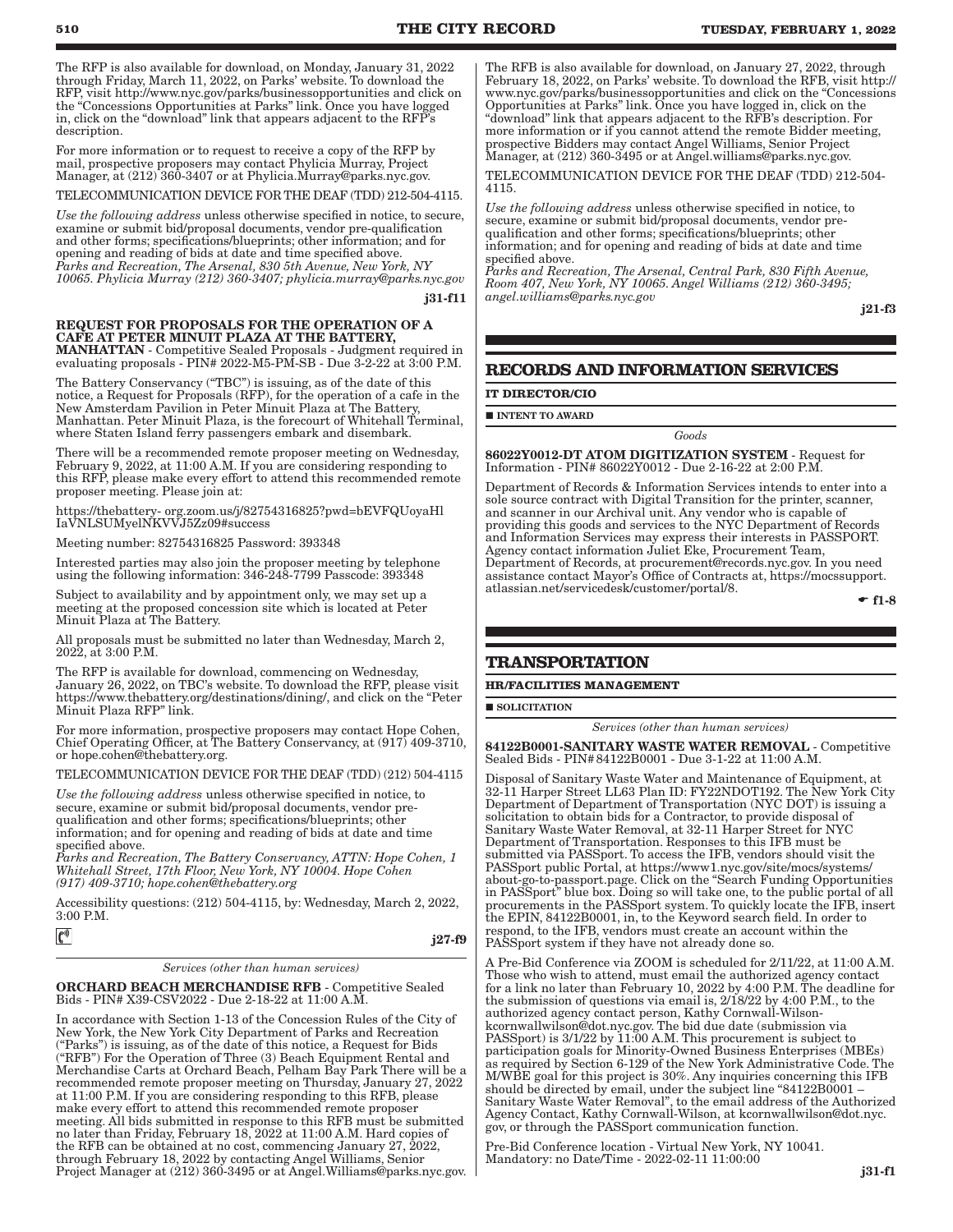The RFP is also available for download, on Monday, January 31, 2022 through Friday, March 11, 2022, on Parks' website. To download the RFP, visit http://www.nyc.gov/parks/businessopportunities and click on the "Concessions Opportunities at Parks" link. Once you have logged in, click on the "download" link that appears adjacent to the RFP's description.

For more information or to request to receive a copy of the RFP by mail, prospective proposers may contact Phylicia Murray, Project Manager, at  $(212)$  360-3407 or at Phylicia.Murray@parks.nyc.gov.

TELECOMMUNICATION DEVICE FOR THE DEAF (TDD) 212-504-4115.

*Use the following address* unless otherwise specified in notice, to secure, examine or submit bid/proposal documents, vendor pre-qualification and other forms; specifications/blueprints; other information; and for opening and reading of bids at date and time specified above. *Parks and Recreation, The Arsenal, 830 5th Avenue, New York, NY 10065. Phylicia Murray (212) 360-3407; phylicia.murray@parks.nyc.gov*

j31-f11

### REQUEST FOR PROPOSALS FOR THE OPERATION OF A CAFE AT PETER MINUIT PLAZA AT THE BATTERY,

MANHATTAN - Competitive Sealed Proposals - Judgment required in evaluating proposals - PIN# 2022-M5-PM-SB - Due 3-2-22 at 3:00 P.M.

The Battery Conservancy ("TBC") is issuing, as of the date of this notice, a Request for Proposals (RFP), for the operation of a cafe in the New Amsterdam Pavilion in Peter Minuit Plaza at The Battery, Manhattan. Peter Minuit Plaza, is the forecourt of Whitehall Terminal, where Staten Island ferry passengers embark and disembark.

There will be a recommended remote proposer meeting on Wednesday, February 9, 2022, at 11:00 A.M. If you are considering responding to this RFP, please make every effort to attend this recommended remote proposer meeting. Please join at:

https://thebattery- org.zoom.us/j/82754316825?pwd=bEVFQUoyaHl IaVNLSUMyelNKVVJ5Zz09#success

Meeting number: 82754316825 Password: 393348

Interested parties may also join the proposer meeting by telephone using the following information: 346-248-7799 Passcode: 393348

Subject to availability and by appointment only, we may set up a meeting at the proposed concession site which is located at Peter Minuit Plaza at The Battery.

All proposals must be submitted no later than Wednesday, March 2, 2022, at 3:00 P.M.

The RFP is available for download, commencing on Wednesday, January 26, 2022, on TBC's website. To download the RFP, please visit https://www.thebattery.org/destinations/dining/, and click on the "Peter Minuit Plaza RFP" link.

For more information, prospective proposers may contact Hope Cohen, Chief Operating Officer, at The Battery Conservancy, at (917) 409-3710, or hope.cohen@thebattery.org.

TELECOMMUNICATION DEVICE FOR THE DEAF (TDD) (212) 504-4115

*Use the following address* unless otherwise specified in notice, to secure, examine or submit bid/proposal documents, vendor prequalification and other forms; specifications/blueprints; other information; and for opening and reading of bids at date and time specified above.

*Parks and Recreation, The Battery Conservancy, ATTN: Hope Cohen, 1 Whitehall Street, 17th Floor, New York, NY 10004. Hope Cohen (917) 409-3710; hope.cohen@thebattery.org*

Accessibility questions: (212) 504-4115, by: Wednesday, March 2, 2022,  $3:00 \text{ } P \text{ } M$ 

| $\mathfrak{c}^*$<br>$j27-f9$ |  |
|------------------------------|--|
|                              |  |

*Services (other than human services)*

ORCHARD BEACH MERCHANDISE RFB - Competitive Sealed Bids - PIN# X39-CSV2022 - Due 2-18-22 at 11:00 A.M.

In accordance with Section 1-13 of the Concession Rules of the City of New York, the New York City Department of Parks and Recreation ("Parks") is issuing, as of the date of this notice, a Request for Bids ("RFB") For the Operation of Three (3) Beach Equipment Rental and Merchandise Carts at Orchard Beach, Pelham Bay Park There will be a recommended remote proposer meeting on Thursday, January 27, 2022 at 11:00 P.M. If you are considering responding to this RFB, please make every effort to attend this recommended remote proposer meeting. All bids submitted in response to this RFB must be submitted no later than Friday, February 18, 2022 at 11:00 A.M. Hard copies of the RFB can be obtained at no cost, commencing January 27, 2022, through February 18, 2022 by contacting Angel Williams, Senior Project Manager at (212) 360-3495 or at Angel.Williams@parks.nyc.gov.

The RFB is also available for download, on January 27, 2022, through February 18, 2022, on Parks' website. To download the RFB, visit http:// www.nyc.gov/parks/businessopportunities and click on the "Concessions Opportunities at Parks" link. Once you have logged in, click on the "download" link that appears adjacent to the RFB's description. For more information or if you cannot attend the remote Bidder meeting, prospective Bidders may contact Angel Williams, Senior Project Manager, at (212) 360-3495 or at Angel.williams@parks.nyc.gov.

TELECOMMUNICATION DEVICE FOR THE DEAF (TDD) 212-504- 4115.

*Use the following address* unless otherwise specified in notice, to secure, examine or submit bid/proposal documents, vendor prequalification and other forms; specifications/blueprints; other information; and for opening and reading of bids at date and time specified above.

*Parks and Recreation, The Arsenal, Central Park, 830 Fifth Avenue, Room 407, New York, NY 10065. Angel Williams (212) 360-3495; angel.williams@parks.nyc.gov*

j21-f3

### **RECORDS AND INFORMATION SERVICES**

#### **IT DIRECTOR/CIO**

**INTENT TO AWARD** 

86022Y0012-DT ATOM DIGITIZATION SYSTEM - Request for Information - PIN# 86022Y0012 - Due 2-16-22 at 2:00 P.M.

*Goods*

Department of Records & Information Services intends to enter into a sole source contract with Digital Transition for the printer, scanner, and scanner in our Archival unit. Any vendor who is capable of providing this goods and services to the NYC Department of Records and Information Services may express their interests in PASSPORT. Agency contact information Juliet Eke, Procurement Team, Department of Records, at procurement@records.nyc.gov. In you need assistance contact Mayor's Office of Contracts at, https://mocssupport. atlassian.net/servicedesk/customer/portal/8.

 $- f1-8$ 

### **TRANSPORTATION**

### **HR/FACILITIES MANAGEMENT**

SOLICITATION

*Services (other than human services)*

84122B0001-SANITARY WASTE WATER REMOVAL - Competitive Sealed Bids - PIN#84122B0001 - Due 3-1-22 at 11:00 A.M.

Disposal of Sanitary Waste Water and Maintenance of Equipment, at 32-11 Harper Street LL63 Plan ID: FY22NDOT192. The New York City Department of Department of Transportation (NYC DOT) is issuing a solicitation to obtain bids for a Contractor, to provide disposal of Sanitary Waste Water Removal, at 32-11 Harper Street for NYC Department of Transportation. Responses to this IFB must be submitted via PASSport. To access the IFB, vendors should visit the PASSport public Portal, at https://www1.nyc.gov/site/mocs/systems/ about-go-to-passport.page. Click on the "Search Funding Opportunities in PASSport" blue box. Doing so will take one, to the public portal of all procurements in the PASSport system. To quickly locate the IFB, insert the EPIN, 84122B0001, in, to the Keyword search field. In order to respond, to the IFB, vendors must create an account within the PASSport system if they have not already done so.

A Pre-Bid Conference via ZOOM is scheduled for 2/11/22, at 11:00 A.M. Those who wish to attend, must email the authorized agency contact for a link no later than February 10, 2022 by 4:00 P.M. The deadline for the submission of questions via email is,  $2/18/22$  by 4:00 P.M., to the authorized agency contact person, Kathy Cornwall-Wilsonkcornwallwilson@dot.nyc.gov. The bid due date (submission via PASSport) is  $3/1/22$  by 11:00 A.M. This procurement is subject to participation goals for Minority-Owned Business Enterprises (MBEs) as required by Section 6-129 of the New York Administrative Code. The M/WBE goal for this project is 30%. Any inquiries concerning this IFB should be directed by email, under the subject line "84122B0001 – Sanitary Waste Water Removal", to the email address of the Authorized Agency Contact, Kathy Cornwall-Wilson, at kcornwallwilson@dot.nyc. gov, or through the PASSport communication function.

Pre-Bid Conference location - Virtual New York, NY 10041. Mandatory: no Date/Time - 2022-02-11 11:00:00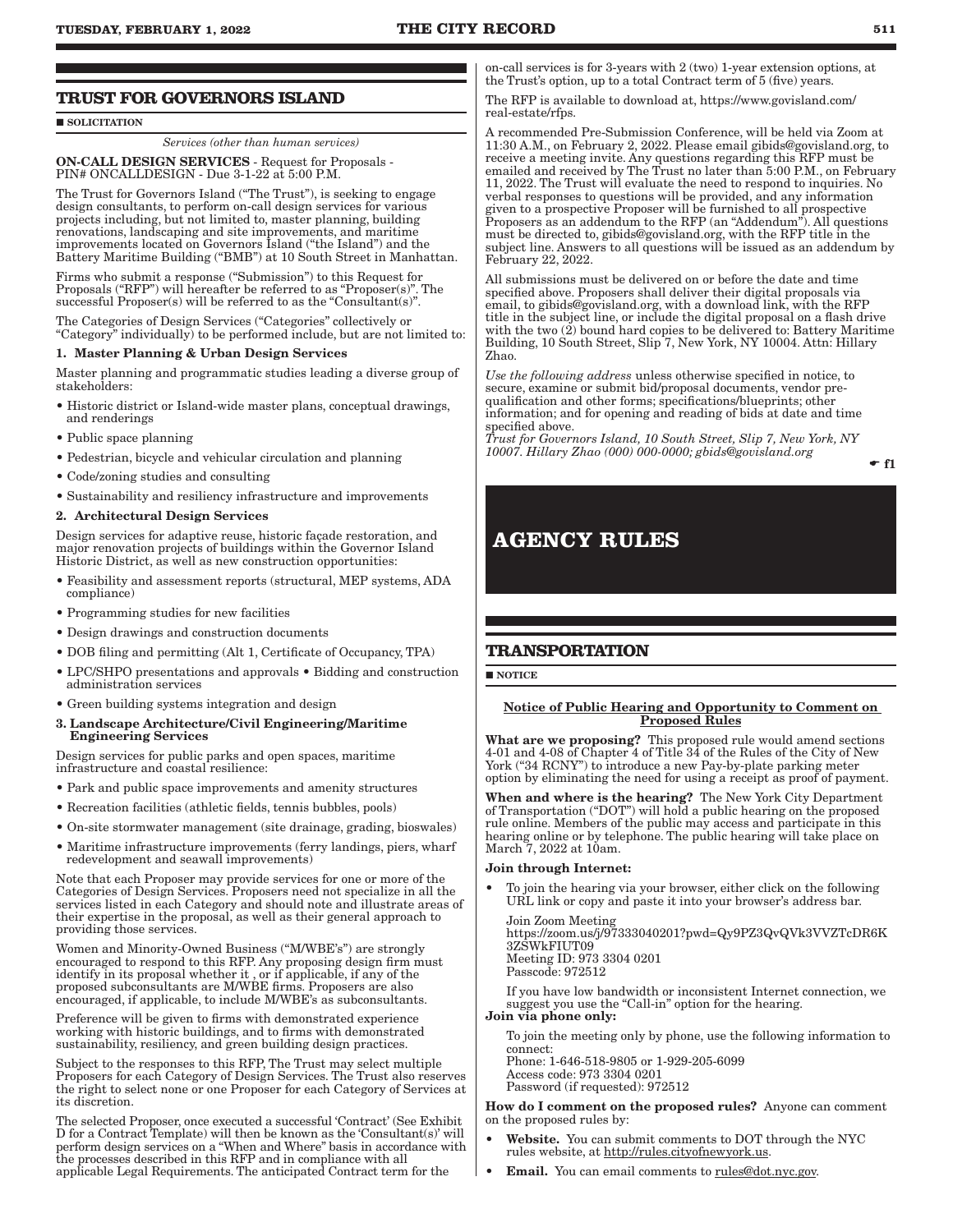### SOLICITATION

*Services (other than human services)* ON-CALL DESIGN SERVICES - Request for Proposals - PIN# ONCALLDESIGN - Due 3-1-22 at 5:00 P.M.

The Trust for Governors Island ("The Trust"), is seeking to engage design consultants, to perform on-call design services for various projects including, but not limited to, master planning, building renovations, landscaping and site improvements, and maritime improvements located on Governors Island ("the Island") and the Battery Maritime Building ("BMB") at 10 South Street in Manhattan.

Firms who submit a response ("Submission") to this Request for Proposals ("RFP") will hereafter be referred to as "Proposer(s)". The successful Proposer(s) will be referred to as the "Consultant(s)".

The Categories of Design Services ("Categories" collectively or "Category" individually) to be performed include, but are not limited to:

### 1. Master Planning & Urban Design Services

Master planning and programmatic studies leading a diverse group of stakeholders:

- Historic district or Island-wide master plans, conceptual drawings, and renderings
- Public space planning
- Pedestrian, bicycle and vehicular circulation and planning
- Code/zoning studies and consulting
- Sustainability and resiliency infrastructure and improvements

### 2. Architectural Design Services

Design services for adaptive reuse, historic façade restoration, and major renovation projects of buildings within the Governor Island Historic District, as well as new construction opportunities:

- Feasibility and assessment reports (structural, MEP systems, ADA compliance)
- Programming studies for new facilities
- Design drawings and construction documents
- DOB filing and permitting (Alt 1, Certificate of Occupancy, TPA)
- LPC/SHPO presentations and approvals Bidding and construction administration services
- Green building systems integration and design
- 3. Landscape Architecture/Civil Engineering/Maritime Engineering Services

Design services for public parks and open spaces, maritime infrastructure and coastal resilience:

- Park and public space improvements and amenity structures
- Recreation facilities (athletic fields, tennis bubbles, pools)
- On-site stormwater management (site drainage, grading, bioswales)
- Maritime infrastructure improvements (ferry landings, piers, wharf redevelopment and seawall improvements)

Note that each Proposer may provide services for one or more of the Categories of Design Services. Proposers need not specialize in all the services listed in each Category and should note and illustrate areas of their expertise in the proposal, as well as their general approach to providing those services.

Women and Minority-Owned Business ("M/WBE's") are strongly encouraged to respond to this RFP. Any proposing design firm must identify in its proposal whether it , or if applicable, if any of the proposed subconsultants are M/WBE firms. Proposers are also encouraged, if applicable, to include M/WBE's as subconsultants.

Preference will be given to firms with demonstrated experience working with historic buildings, and to firms with demonstrated sustainability, resiliency, and green building design practices.

Subject to the responses to this RFP, The Trust may select multiple Proposers for each Category of Design Services. The Trust also reserves the right to select none or one Proposer for each Category of Services at its discretion.

The selected Proposer, once executed a successful 'Contract' (See Exhibit D for a Contract Template) will then be known as the 'Consultant(s)' will perform design services on a "When and Where" basis in accordance with the processes described in this RFP and in compliance with all applicable Legal Requirements. The anticipated Contract term for the

on-call services is for 3-years with 2 (two) 1-year extension options, at the Trust's option, up to a total Contract term of 5 (five) years.

The RFP is available to download at, https://www.govisland.com/ real-estate/rfps.

A recommended Pre-Submission Conference, will be held via Zoom at 11:30 A.M., on February 2, 2022. Please email gibids@govisland.org, to receive a meeting invite. Any questions regarding this RFP must be emailed and received by The Trust no later than 5:00 P.M., on February 11, 2022. The Trust will evaluate the need to respond to inquiries. No verbal responses to questions will be provided, and any information given to a prospective Proposer will be furnished to all prospective Proposers as an addendum to the RFP (an "Addendum"). All questions must be directed to, gibids@govisland.org, with the RFP title in the subject line. Answers to all questions will be issued as an addendum by February 22, 2022.

All submissions must be delivered on or before the date and time specified above. Proposers shall deliver their digital proposals via email, to gibids@govisland.org, with a download link, with the RFP title in the subject line, or include the digital proposal on a flash drive with the two (2) bound hard copies to be delivered to: Battery Maritime Building, 10 South Street, Slip 7, New York, NY 10004. Attn: Hillary Zhao.

*Use the following address* unless otherwise specified in notice, to secure, examine or submit bid/proposal documents, vendor prequalification and other forms; specifications/blueprints; other information; and for opening and reading of bids at date and time specified above.

*Trust for Governors Island, 10 South Street, Slip 7, New York, NY 10007. Hillary Zhao (000) 000-0000; gbids@govisland.org*

### $\div$  f1

# **AGENCY RULES**

### **TRANSPORTATION**

NOTICE

### Notice of Public Hearing and Opportunity to Comment on Proposed Rules

What are we proposing? This proposed rule would amend sections 4-01 and 4-08 of Chapter 4 of Title 34 of the Rules of the City of New York ("34 RCNY") to introduce a new Pay-by-plate parking meter option by eliminating the need for using a receipt as proof of payment.

When and where is the hearing? The New York City Department of Transportation ("DOT") will hold a public hearing on the proposed rule online. Members of the public may access and participate in this hearing online or by telephone. The public hearing will take place on March 7, 2022 at 10am.

### Join through Internet:

• To join the hearing via your browser, either click on the following URL link or copy and paste it into your browser's address bar.

Join Zoom Meeting https://zoom.us/j/97333040201?pwd=Qy9PZ3QvQVk3VVZTcDR6K 3ZSWkFIUT09 Meeting ID: 973 3304 0201 Passcode: 972512

If you have low bandwidth or inconsistent Internet connection, we suggest you use the "Call-in" option for the hearing.

### Join via phone only:

To join the meeting only by phone, use the following information to connect:

Phone: 1-646-518-9805 or 1-929-205-6099 Access code: 973 3304 0201 Password (if requested): 972512

### How do I comment on the proposed rules? Anyone can comment on the proposed rules by:

- Website. You can submit comments to DOT through the NYC rules website, at http://rules.cityofnewyork.us.
- Email. You can email comments to rules@dot.nyc.gov.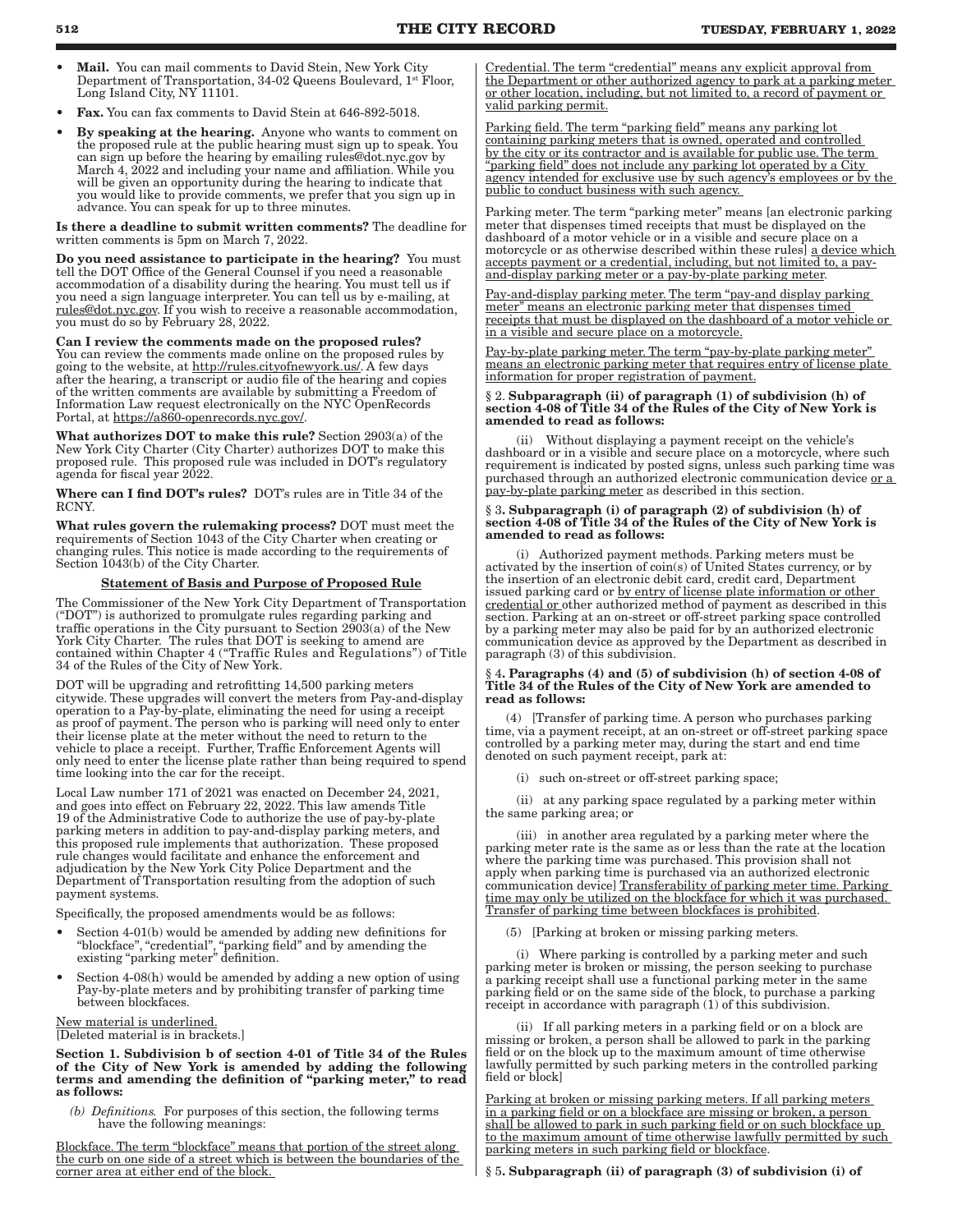- Mail. You can mail comments to David Stein, New York City Department of Transportation, 34-02 Queens Boulevard, 1st Floor, Long Island City, NY 11101.
- Fax. You can fax comments to David Stein at 646-892-5018.
- By speaking at the hearing. Anyone who wants to comment on the proposed rule at the public hearing must sign up to speak. You can sign up before the hearing by emailing rules@dot.nyc.gov by March 4, 2022 and including your name and affiliation. While you will be given an opportunity during the hearing to indicate that you would like to provide comments, we prefer that you sign up in advance. You can speak for up to three minutes.

Is there a deadline to submit written comments? The deadline for written comments is 5pm on March 7, 2022.

Do you need assistance to participate in the hearing? You must tell the DOT Office of the General Counsel if you need a reasonable accommodation of a disability during the hearing. You must tell us if you need a sign language interpreter. You can tell us by e-mailing, at rules@dot.nyc.gov. If you wish to receive a reasonable accommodation, you must do so by February 28, 2022.

Can I review the comments made on the proposed rules? You can review the comments made online on the proposed rules by going to the website, at http://rules.cityofnewyork.us/. A few days after the hearing, a transcript or audio file of the hearing and copies of the written comments are available by submitting a Freedom of Information Law request electronically on the NYC OpenRecords Portal, at https://a860-openrecords.nyc.gov/

What authorizes DOT to make this rule? Section 2903(a) of the New York City Charter (City Charter) authorizes DOT to make this proposed rule. This proposed rule was included in DOT's regulatory agenda for fiscal year 2022.

Where can I find DOT's rules? DOT's rules are in Title 34 of the RCNY.

What rules govern the rulemaking process? DOT must meet the requirements of Section 1043 of the City Charter when creating or changing rules. This notice is made according to the requirements of Section 1043(b) of the City Charter.

### Statement of Basis and Purpose of Proposed Rule

The Commissioner of the New York City Department of Transportation ("DOT") is authorized to promulgate rules regarding parking and traffic operations in the City pursuant to Section  $2\tilde{9}0\tilde{3}$ (a) of the New York City Charter. The rules that DOT is seeking to amend are contained within Chapter 4 ("Traffic Rules and Regulations") of Title 34 of the Rules of the City of New York.

DOT will be upgrading and retrofitting 14,500 parking meters citywide. These upgrades will convert the meters from Pay-and-display operation to a Pay-by-plate, eliminating the need for using a receipt as proof of payment. The person who is parking will need only to enter their license plate at the meter without the need to return to the vehicle to place a receipt. Further, Traffic Enforcement Agents will only need to enter the license plate rather than being required to spend time looking into the car for the receipt.

Local Law number 171 of 2021 was enacted on December 24, 2021, and goes into effect on February 22, 2022. This law amends Title 19 of the Administrative Code to authorize the use of pay-by-plate parking meters in addition to pay-and-display parking meters, and this proposed rule implements that authorization. These proposed rule changes would facilitate and enhance the enforcement and adjudication by the New York City Police Department and the Department of Transportation resulting from the adoption of such payment systems.

Specifically, the proposed amendments would be as follows:

- Section 4-01(b) would be amended by adding new definitions for "blockface", "credential", "parking field" and by amending the existing "parking meter" definition.
- Section 4-08(h) would be amended by adding a new option of using Pay-by-plate meters and by prohibiting transfer of parking time between blockfaces.

New material is underlined. [Deleted material is in brackets.]

Section 1. Subdivision b of section 4-01 of Title 34 of the Rules of the City of New York is amended by adding the following terms and amending the definition of "parking meter," to read as follows:

*(b) Definitions.* For purposes of this section, the following terms have the following meanings:

Blockface. The term "blockface" means that portion of the street along the curb on one side of a street which is between the boundaries of the corner area at either end of the block.

Credential. The term "credential" means any explicit approval from the Department or other authorized agency to park at a parking meter or other location, including, but not limited to, a record of payment or valid parking permit.

Parking field. The term "parking field" means any parking lot containing parking meters that is owned, operated and controlled by the city or its contractor and is available for public use. The term "parking field" does not include any parking lot operated by a City agency intended for exclusive use by such agency's employees or by the public to conduct business with such agency.

Parking meter. The term "parking meter" means [an electronic parking meter that dispenses timed receipts that must be displayed on the dashboard of a motor vehicle or in a visible and secure place on a motorcycle or as otherwise described within these rules] a device which accepts payment or a credential, including, but not limited to, a payand-display parking meter or a pay-by-plate parking meter.

Pay-and-display parking meter. The term "pay-and display parking meter" means an electronic parking meter that dispenses timed receipts that must be displayed on the dashboard of a motor vehicle or in a visible and secure place on a motorcycle.

Pay-by-plate parking meter. The term "pay-by-plate parking meter" means an electronic parking meter that requires entry of license plate information for proper registration of payment.

#### § 2. Subparagraph (ii) of paragraph (1) of subdivision (h) of section 4-08 of Title 34 of the Rules of the City of New York is amended to read as follows:

 (ii) Without displaying a payment receipt on the vehicle's dashboard or in a visible and secure place on a motorcycle, where such requirement is indicated by posted signs, unless such parking time was purchased through an authorized electronic communication device or a pay-by-plate parking meter as described in this section.

#### § 3. Subparagraph (i) of paragraph (2) of subdivision (h) of section 4-08 of Title 34 of the Rules of the City of New York is amended to read as follows:

 (i) Authorized payment methods. Parking meters must be activated by the insertion of coin(s) of United States currency, or by the insertion of an electronic debit card, credit card, Department issued parking card or by entry of license plate information or other credential or other authorized method of payment as described in this section. Parking at an on-street or off-street parking space controlled by a parking meter may also be paid for by an authorized electronic communication device as approved by the Department as described in paragraph (3) of this subdivision.

### § 4. Paragraphs (4) and (5) of subdivision (h) of section 4-08 of Title 34 of the Rules of the City of New York are amended to read as follows:

 (4) [Transfer of parking time. A person who purchases parking time, via a payment receipt, at an on-street or off-street parking space controlled by a parking meter may, during the start and end time denoted on such payment receipt, park at:

(i) such on-street or off-street parking space;

 (ii) at any parking space regulated by a parking meter within the same parking area; or

 (iii) in another area regulated by a parking meter where the parking meter rate is the same as or less than the rate at the location where the parking time was purchased. This provision shall not apply when parking time is purchased via an authorized electronic communication device] Transferability of parking meter time. Parking time may only be utilized on the blockface for which it was purchased. Transfer of parking time between blockfaces is prohibited.

(5) [Parking at broken or missing parking meters.

 (i) Where parking is controlled by a parking meter and such parking meter is broken or missing, the person seeking to purchase a parking receipt shall use a functional parking meter in the same parking field or on the same side of the block, to purchase a parking receipt in accordance with paragraph (1) of this subdivision.

 (ii) If all parking meters in a parking field or on a block are missing or broken, a person shall be allowed to park in the parking field or on the block up to the maximum amount of time otherwise lawfully permitted by such parking meters in the controlled parking field or block]

Parking at broken or missing parking meters. If all parking meters in a parking field or on a blockface are missing or broken, a person shall be allowed to park in such parking field or on such blockface up to the maximum amount of time otherwise lawfully permitted by such parking meters in such parking field or blockface.

§ 5. Subparagraph (ii) of paragraph (3) of subdivision (i) of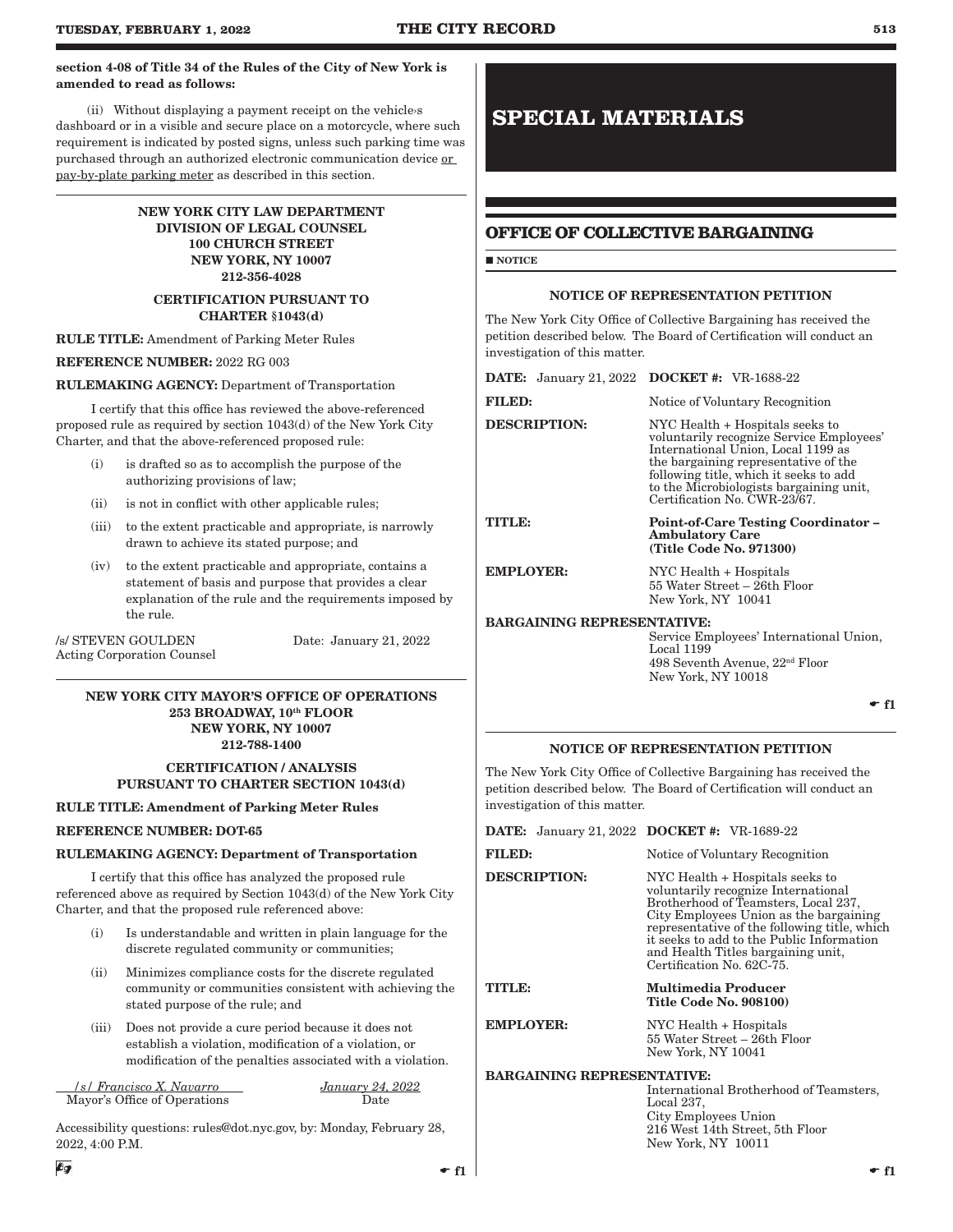### section 4-08 of Title 34 of the Rules of the City of New York is amended to read as follows:

(ii) Without displaying a payment receipt on the vehicles dashboard or in a visible and secure place on a motorcycle, where such requirement is indicated by posted signs, unless such parking time was purchased through an authorized electronic communication device or pay-by-plate parking meter as described in this section.

### NEW YORK CITY LAW DEPARTMENT DIVISION OF LEGAL COUNSEL 100 CHURCH STREET NEW YORK, NY 10007 212-356-4028

### CERTIFICATION PURSUANT TO CHARTER §1043(d)

### RULE TITLE: Amendment of Parking Meter Rules

### REFERENCE NUMBER: 2022 RG 003

### RULEMAKING AGENCY: Department of Transportation

I certify that this office has reviewed the above-referenced proposed rule as required by section 1043(d) of the New York City Charter, and that the above-referenced proposed rule:

- (i) is drafted so as to accomplish the purpose of the authorizing provisions of law;
- (ii) is not in conflict with other applicable rules;
- (iii) to the extent practicable and appropriate, is narrowly drawn to achieve its stated purpose; and
- (iv) to the extent practicable and appropriate, contains a statement of basis and purpose that provides a clear explanation of the rule and the requirements imposed by the rule.

/s/ STEVEN GOULDEN Date: January 21, 2022 Acting Corporation Counsel

### NEW YORK CITY MAYOR'S OFFICE OF OPERATIONS 253 BROADWAY, 10th FLOOR NEW YORK, NY 10007 212-788-1400

CERTIFICATION / ANALYSIS PURSUANT TO CHARTER SECTION 1043(d)

RULE TITLE: Amendment of Parking Meter Rules

### REFERENCE NUMBER: DOT-65

### RULEMAKING AGENCY: Department of Transportation

I certify that this office has analyzed the proposed rule referenced above as required by Section 1043(d) of the New York City Charter, and that the proposed rule referenced above:

- (i) Is understandable and written in plain language for the discrete regulated community or communities;
- (ii) Minimizes compliance costs for the discrete regulated community or communities consistent with achieving the stated purpose of the rule; and
- (iii) Does not provide a cure period because it does not establish a violation, modification of a violation, or modification of the penalties associated with a violation.

 */s/ Francisco X. Navarro January 24, 2022* Mayor's Office of Operations

Accessibility questions: rules@dot.nyc.gov, by: Monday, February 28, 2022, 4:00 P.M.

# **SPECIAL MATERIALS**

## **OFFICE OF COLLECTIVE BARGAINING**

**NOTICE** 

### NOTICE OF REPRESENTATION PETITION

The New York City Office of Collective Bargaining has received the petition described below. The Board of Certification will conduct an investigation of this matter.

| <b>DATE:</b> January 21, 2022 <b>DOCKET</b> #: VR-1688-22 |                                                                                                                                                                                                                                                                                |
|-----------------------------------------------------------|--------------------------------------------------------------------------------------------------------------------------------------------------------------------------------------------------------------------------------------------------------------------------------|
| <b>FILED:</b>                                             | Notice of Voluntary Recognition                                                                                                                                                                                                                                                |
| <b>DESCRIPTION:</b>                                       | NYC Health + Hospitals seeks to<br>voluntarily recognize Service Employees'<br>International Union, Local 1199 as<br>the bargaining representative of the<br>following title, which it seeks to add<br>to the Microbiologists bargaining unit,<br>Certification No. CWR-23/67. |
| TITLE:                                                    | <b>Point-of-Care Testing Coordinator -</b><br><b>Ambulatory Care</b><br>(Title Code No. 971300)                                                                                                                                                                                |
| <b>EMPLOYER:</b>                                          | NYC Health + Hospitals<br>55 Water Street – 26th Floor<br>New York, NY 10041                                                                                                                                                                                                   |
| <b>BARGAINING REPRESENTATIVE:</b>                         |                                                                                                                                                                                                                                                                                |

Service Employees' International Union, Local 1199 498 Seventh Avenue, 22nd Floor New York, NY 10018

 $- f1$ 

### NOTICE OF REPRESENTATION PETITION

The New York City Office of Collective Bargaining has received the petition described below. The Board of Certification will conduct an investigation of this matter.

|                                   | <b>DATE:</b> January 21, 2022 <b>DOCKET</b> #: VR-1689-22                                                                                                                                                                                                                                                                |
|-----------------------------------|--------------------------------------------------------------------------------------------------------------------------------------------------------------------------------------------------------------------------------------------------------------------------------------------------------------------------|
| <b>FILED:</b>                     | Notice of Voluntary Recognition                                                                                                                                                                                                                                                                                          |
| <b>DESCRIPTION:</b>               | NYC Health + Hospitals seeks to<br>voluntarily recognize International<br>Brotherhood of Teamsters, Local 237,<br>City Employees Union as the bargaining<br>representative of the following title, which<br>it seeks to add to the Public Information<br>and Health Titles bargaining unit,<br>Certification No. 62C-75. |
|                                   |                                                                                                                                                                                                                                                                                                                          |
| TITLE:                            | Multimedia Producer<br><b>Title Code No. 908100)</b>                                                                                                                                                                                                                                                                     |
| <b>EMPLOYER:</b>                  | NYC Health + Hospitals<br>55 Water Street – 26th Floor<br>New York, NY 10041                                                                                                                                                                                                                                             |
| <b>BARGAINING REPRESENTATIVE:</b> |                                                                                                                                                                                                                                                                                                                          |

New York, NY 10011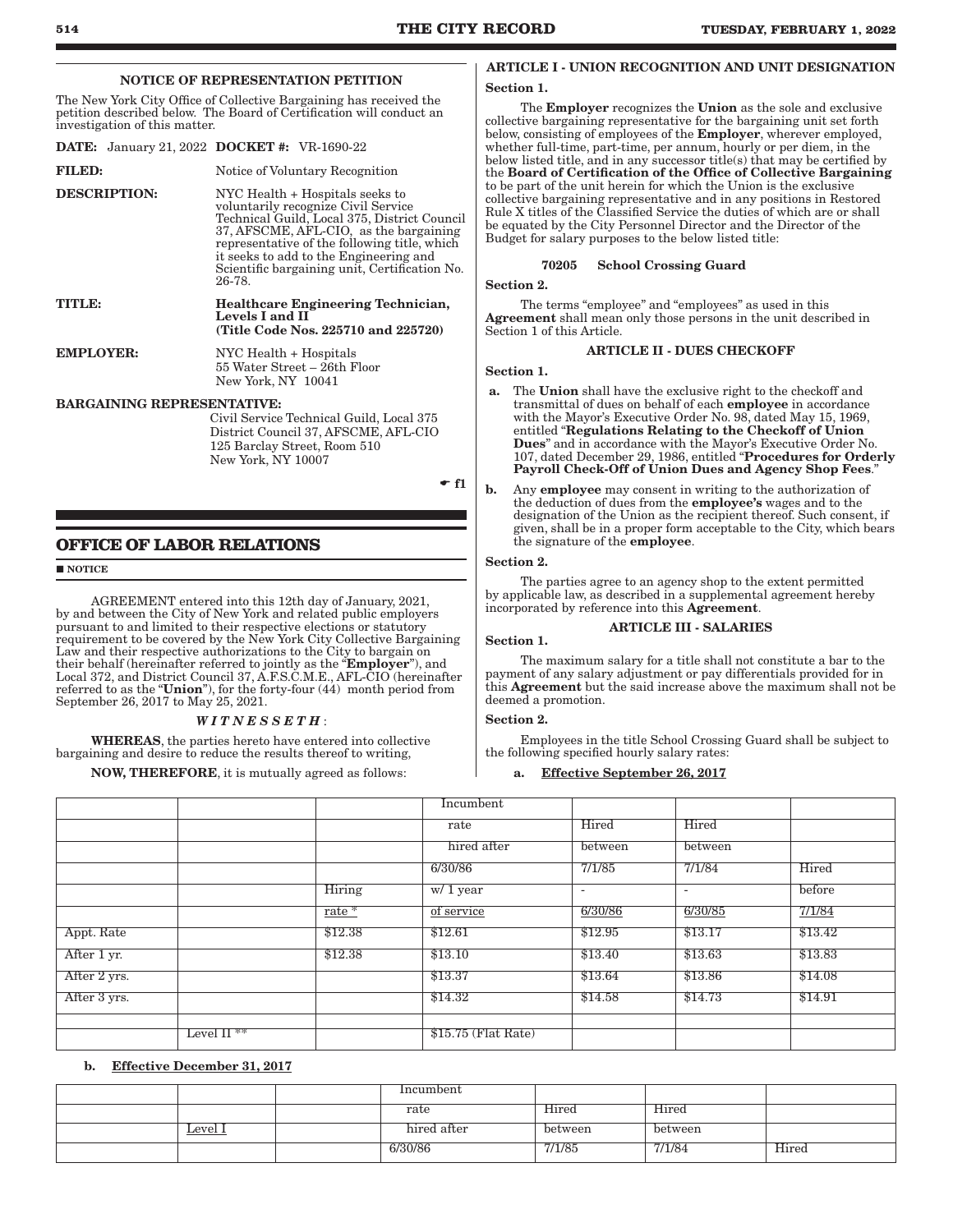NOTICE OF REPRESENTATION PETITION

The New York City Office of Collective Bargaining has received the petition described below. The Board of Certification will conduct an investigation of this matter.

|                     |                                   | <b>DATE:</b> January 21, 2022 <b>DOCKET</b> #: VR-1690-22                                                                                                                                                                                                                                                             |  |  |  |  |
|---------------------|-----------------------------------|-----------------------------------------------------------------------------------------------------------------------------------------------------------------------------------------------------------------------------------------------------------------------------------------------------------------------|--|--|--|--|
| <b>FILED:</b>       |                                   | Notice of Voluntary Recognition                                                                                                                                                                                                                                                                                       |  |  |  |  |
| <b>DESCRIPTION:</b> |                                   | NYC Health + Hospitals seeks to<br>voluntarily recognize Civil Service<br>Technical Guild, Local 375, District Council<br>37, AFSCME, AFL-CIO, as the bargaining<br>representative of the following title, which<br>it seeks to add to the Engineering and<br>Scientific bargaining unit, Certification No.<br>26-78. |  |  |  |  |
| TITLE:              |                                   | <b>Healthcare Engineering Technician,</b><br>Levels I and II<br>(Title Code Nos. 225710 and 225720)                                                                                                                                                                                                                   |  |  |  |  |
| <b>EMPLOYER:</b>    |                                   | NYC Health + Hospitals<br>55 Water Street – 26th Floor<br>New York, NY 10041                                                                                                                                                                                                                                          |  |  |  |  |
|                     | <b>BARGAINING REPRESENTATIVE:</b> | Civil Service Technical Guild, Local 375                                                                                                                                                                                                                                                                              |  |  |  |  |

District Council 37, AFSCME, AFL-CIO 125 Barclay Street, Room 510 New York, NY 10007

**OFFICE OF LABOR RELATIONS**

#### **NOTICE**

AGREEMENT entered into this 12th day of January, 2021, by and between the City of New York and related public employers pursuant to and limited to their respective elections or statutory requirement to be covered by the New York City Collective Bargaining Law and their respective authorizations to the City to bargain on their behalf (hereinafter referred to jointly as the "**Employer**"), and Local 372, and District Council 37, A.F.S.C.M.E., AFL-CIO (hereinafter referred to as the "Union"), for the forty-four  $(44)$  month period from September 26, 2017 to May 25, 2021.

### *W I T N E S S E T H* :

WHEREAS, the parties hereto have entered into collective bargaining and desire to reduce the results thereof to writing,

NOW, THEREFORE, it is mutually agreed as follows:

### ARTICLE I - UNION RECOGNITION AND UNIT DESIGNATION

### Section 1.

The **Employer** recognizes the **Union** as the sole and exclusive collective bargaining representative for the bargaining unit set forth below, consisting of employees of the **Employer**, wherever employed, whether full-time, part-time, per annum, hourly or per diem, in the below listed title, and in any successor title(s) that may be certified by the Board of Certification of the Office of Collective Bargaining to be part of the unit herein for which the Union is the exclusive collective bargaining representative and in any positions in Restored Rule X titles of the Classified Service the duties of which are or shall be equated by the City Personnel Director and the Director of the Budget for salary purposes to the below listed title:

### 70205 School Crossing Guard

Section 2.

The terms "employee" and "employees" as used in this Agreement shall mean only those persons in the unit described in Section 1 of this Article.

### ARTICLE II - DUES CHECKOFF

### Section 1.

- a. The Union shall have the exclusive right to the checkoff and transmittal of dues on behalf of each employee in accordance with the Mayor's Executive Order No. 98, dated May 15, 1969, entitled "Regulations Relating to the Checkoff of Union Dues" and in accordance with the Mayor's Executive Order No. 107, dated December 29, 1986, entitled "Procedures for Orderly Payroll Check-Off of Union Dues and Agency Shop Fees."
- b. Any employee may consent in writing to the authorization of the deduction of dues from the **employee's** wages and to the designation of the Union as the recipient thereof. Such consent, if given, shall be in a proper form acceptable to the City, which bears the signature of the employee.

### Section 2.

 $\text{f1}$ 

The parties agree to an agency shop to the extent permitted by applicable law, as described in a supplemental agreement hereby incorporated by reference into this Agreement.

### ARTICLE III - SALARIES

Section 1.

The maximum salary for a title shall not constitute a bar to the payment of any salary adjustment or pay differentials provided for in this Agreement but the said increase above the maximum shall not be deemed a promotion.

### Section 2.

Employees in the title School Crossing Guard shall be subject to the following specified hourly salary rates:

### a. Effective September 26, 2017

|              |                           |          | Incumbent            |         |                          |         |
|--------------|---------------------------|----------|----------------------|---------|--------------------------|---------|
|              |                           |          | rate                 | Hired   | Hired                    |         |
|              |                           |          | hired after          | between | between                  |         |
|              |                           |          | 6/30/86              | 7/1/85  | 7/1/84                   | Hired   |
|              |                           | Hiring   | $w/1$ year           | ۰       | $\overline{\phantom{a}}$ | before  |
|              |                           | rate $*$ | of service           | 6/30/86 | 6/30/85                  | 7/1/84  |
| Appt. Rate   |                           | \$12.38  | \$12.61              | \$12.95 | \$13.17                  | \$13.42 |
| After 1 yr.  |                           | \$12.38  | \$13.10              | \$13.40 | \$13.63                  | \$13.83 |
| After 2 yrs. |                           |          | \$13.37              | \$13.64 | \$13.86                  | \$14.08 |
| After 3 yrs. |                           |          | \$14.32              | \$14.58 | \$14.73                  | \$14.91 |
|              |                           |          |                      |         |                          |         |
|              | Level $\Pi$ <sup>**</sup> |          | $$15.75$ (Flat Rate) |         |                          |         |

### b. Effective December 31, 2017

|         | Incumbent   |         |         |       |
|---------|-------------|---------|---------|-------|
|         | rate        | Hired   | Hired   |       |
| Level I | hired after | between | between |       |
|         | 6/30/86     | 7/1/85  | 7/1/84  | Hired |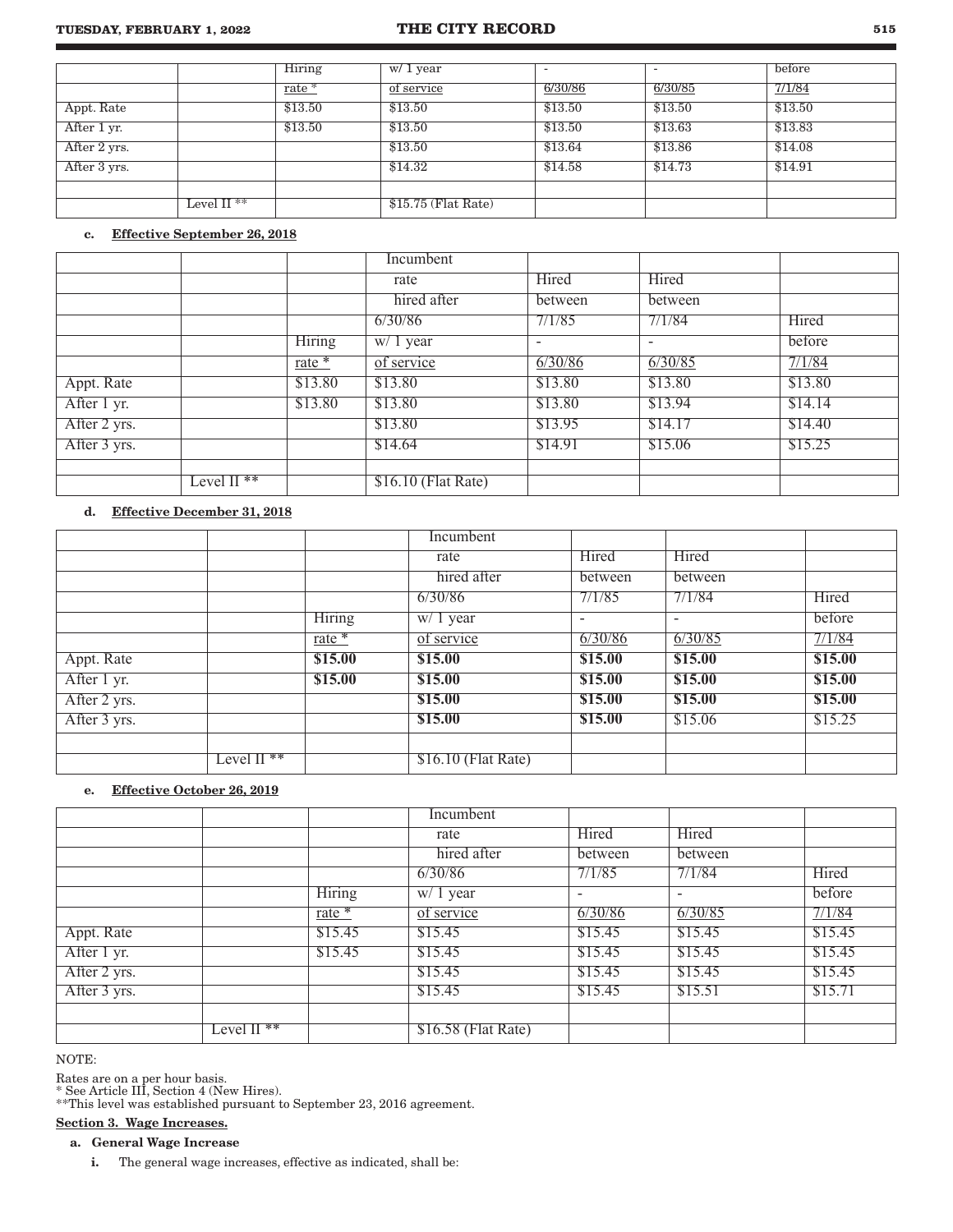### **TUESDAY, FEBRUARY 1, 2022 THE CITY RECORD 515**

|              |               | Hiring  | w/ 1 year            |         |         | before  |
|--------------|---------------|---------|----------------------|---------|---------|---------|
|              |               | $rate*$ | of service           | 6/30/86 | 6/30/85 | 7/1/84  |
| Appt. Rate   |               | \$13.50 | \$13.50              | \$13.50 | \$13.50 | \$13.50 |
| After 1 yr.  |               | \$13.50 | \$13.50              | \$13.50 | \$13.63 | \$13.83 |
| After 2 yrs. |               |         | \$13.50              | \$13.64 | \$13.86 | \$14.08 |
| After 3 yrs. |               |         | \$14.32              | \$14.58 | \$14.73 | \$14.91 |
|              |               |         |                      |         |         |         |
|              | Level II $**$ |         | $$15.75$ (Flat Rate) |         |         |         |

### c. Effective September 26, 2018

|              |                          |          | Incumbent            |                          |                          |         |
|--------------|--------------------------|----------|----------------------|--------------------------|--------------------------|---------|
|              |                          |          | rate                 | Hired                    | Hired                    |         |
|              |                          |          | hired after          | between                  | between                  |         |
|              |                          |          | 6/30/86              | 7/1/85                   | 7/1/84                   | Hired   |
|              |                          | Hiring   | w/ 1 year            | $\overline{\phantom{a}}$ | $\overline{\phantom{a}}$ | before  |
|              |                          | $rate *$ | of service           | 6/30/86                  | 6/30/85                  | 7/1/84  |
| Appt. Rate   |                          | \$13.80  | \$13.80              | \$13.80                  | \$13.80                  | \$13.80 |
| After 1 yr.  |                          | \$13.80  | \$13.80              | \$13.80                  | \$13.94                  | \$14.14 |
| After 2 yrs. |                          |          | \$13.80              | \$13.95                  | \$14.17                  | \$14.40 |
| After 3 yrs. |                          |          | \$14.64              | \$14.91                  | \$15.06                  | \$15.25 |
|              |                          |          |                      |                          |                          |         |
|              | Level $\overline{II}$ ** |          | $$16.10$ (Flat Rate) |                          |                          |         |

### d. Effective December 31, 2018

|              |                           |          | Incumbent                        |                          |         |         |
|--------------|---------------------------|----------|----------------------------------|--------------------------|---------|---------|
|              |                           |          | rate                             | Hired                    | Hired   |         |
|              |                           |          | hired after                      | between                  | between |         |
|              |                           |          | 6/30/86                          | 7/1/85                   | 7/1/84  | Hired   |
|              |                           | Hiring   | $\overline{w}/\overline{1}$ year | $\overline{\phantom{a}}$ |         | before  |
|              |                           | $rate *$ | of service                       | 6/30/86                  | 6/30/85 | 7/1/84  |
| Appt. Rate   |                           | \$15.00  | \$15.00                          | \$15.00                  | \$15.00 | \$15.00 |
| After 1 yr.  |                           | \$15.00  | \$15.00                          | \$15.00                  | \$15.00 | \$15.00 |
| After 2 yrs. |                           |          | \$15.00                          | \$15.00                  | \$15.00 | \$15.00 |
| After 3 yrs. |                           |          | \$15.00                          | \$15.00                  | \$15.06 | \$15.25 |
|              |                           |          |                                  |                          |         |         |
|              | Level $\Pi$ <sup>**</sup> |          | $$16.10$ (Flat Rate)             |                          |         |         |

### e. Effective October 26, 2019

|              |               |          | Incumbent           |                          |                          |         |
|--------------|---------------|----------|---------------------|--------------------------|--------------------------|---------|
|              |               |          | rate                | Hired                    | Hired                    |         |
|              |               |          | hired after         | between                  | between                  |         |
|              |               |          | 6/30/86             | 7/1/85                   | 7/1/84                   | Hired   |
|              |               | Hiring   | $w/1$ year          | $\overline{\phantom{a}}$ | $\overline{\phantom{a}}$ | before  |
|              |               | $rate *$ | of service          | 6/30/86                  | 6/30/85                  | 7/1/84  |
| Appt. Rate   |               | \$15.45  | \$15.45             | \$15.45                  | \$15.45                  | \$15.45 |
| After 1 yr.  |               | \$15.45  | \$15.45             | \$15.45                  | \$15.45                  | \$15.45 |
| After 2 yrs. |               |          | \$15.45             | \$15.45                  | \$15.45                  | \$15.45 |
| After 3 yrs. |               |          | \$15.45             | \$15.45                  | \$15.51                  | \$15.71 |
|              |               |          |                     |                          |                          |         |
|              | Level $II$ ** |          | \$16.58 (Flat Rate) |                          |                          |         |

NOTE:

Rates are on a per hour basis.

\* See Article III, Section 4 (New Hires).

\*\*This level was established pursuant to September 23, 2016 agreement.

### Section 3. Wage Increases.

### a. General Wage Increase

i. The general wage increases, effective as indicated, shall be: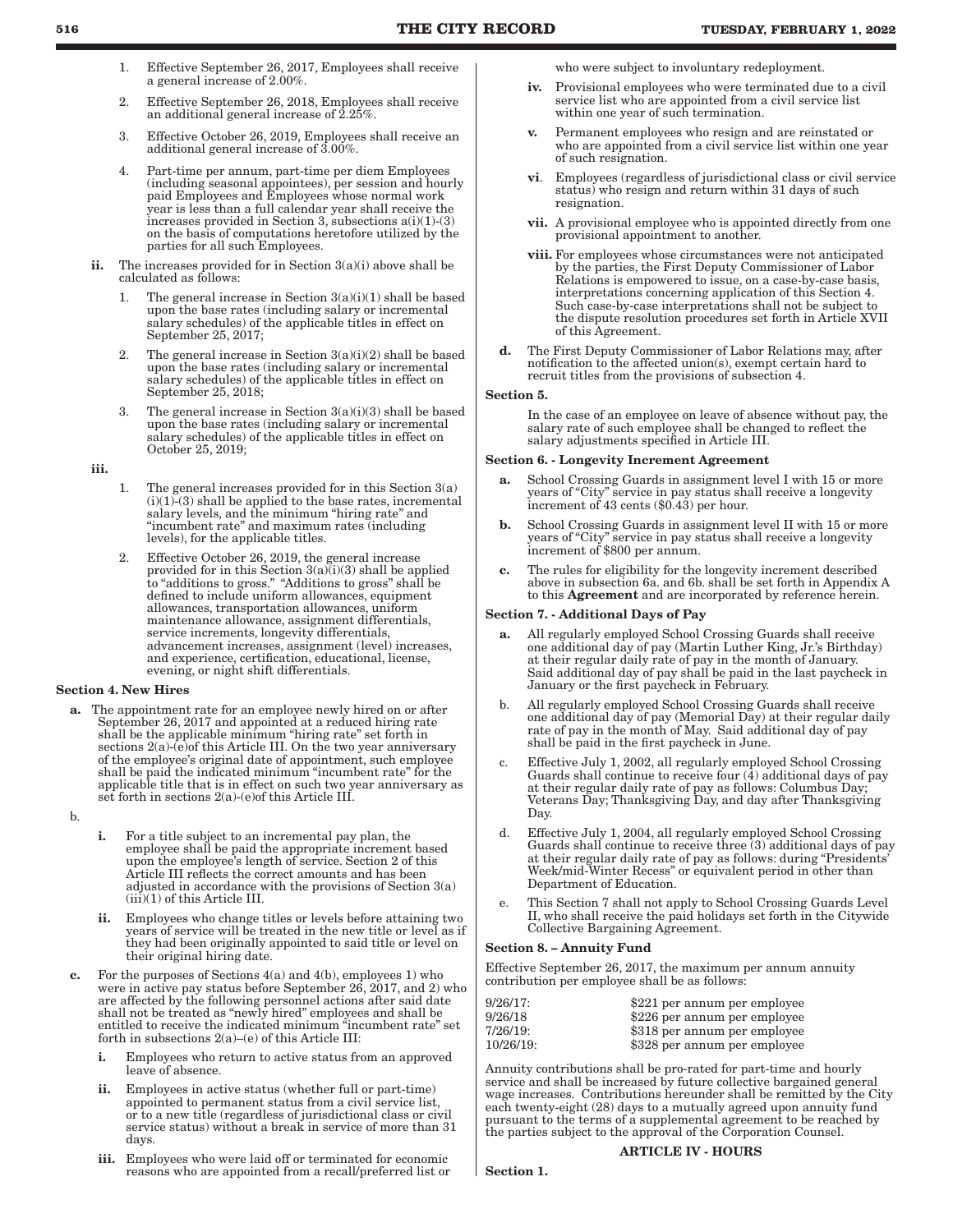- 1. Effective September 26, 2017, Employees shall receive a general increase of 2.00%.
- 2. Effective September 26, 2018, Employees shall receive an additional general increase of 2.25%.
- 3. Effective October 26, 2019, Employees shall receive an additional general increase of 3.00%.
- 4. Part-time per annum, part-time per diem Employees (including seasonal appointees), per session and hourly paid Employees and Employees whose normal work year is less than a full calendar year shall receive the increases provided in Section 3, subsections a(i)(1)-(3) on the basis of computations heretofore utilized by the parties for all such Employees.
- ii. The increases provided for in Section  $3(a)(i)$  above shall be calculated as follows:
	- 1. The general increase in Section  $3(a)(i)(1)$  shall be based upon the base rates (including salary or incremental salary schedules) of the applicable titles in effect on September 25, 2017;
	- 2. The general increase in Section  $3(a)(i)(2)$  shall be based upon the base rates (including salary or incremental salary schedules) of the applicable titles in effect on September 25, 2018;
	- 3. The general increase in Section  $3(a)(i)(3)$  shall be based upon the base rates (including salary or incremental salary schedules) of the applicable titles in effect on October 25, 2019;

iii.

- 1. The general increases provided for in this Section 3(a)  $(i)(1)-(3)$  shall be applied to the base rates, incremental salary levels, and the minimum "hiring rate" and "incumbent rate" and maximum rates (including levels), for the applicable titles.
- Effective October 26, 2019, the general increase provided for in this Section  $3(a)(i)(3)$  shall be applied to "additions to gross." "Additions to gross" shall be defined to include uniform allowances, equipment allowances, transportation allowances, uniform maintenance allowance, assignment differentials, service increments, longevity differentials, advancement increases, assignment (level) increases, and experience, certification, educational, license, evening, or night shift differentials.

### Section 4. New Hires

a. The appointment rate for an employee newly hired on or after September 26, 2017 and appointed at a reduced hiring rate shall be the applicable minimum "hiring rate" set forth in sections 2(a)-(e) of this Article III. On the two year anniversary of the employee's original date of appointment, such employee shall be paid the indicated minimum "incumbent rate" for the applicable title that is in effect on such two year anniversary as set forth in sections 2(a)-(e)of this Article III.

b.

- i. For a title subject to an incremental pay plan, the employee shall be paid the appropriate increment based upon the employee's length of service. Section 2 of this Article III reflects the correct amounts and has been adjusted in accordance with the provisions of Section 3(a)  $(iii)(1)$  of this Article III.
- ii. Employees who change titles or levels before attaining two years of service will be treated in the new title or level as if they had been originally appointed to said title or level on their original hiring date.
- c. For the purposes of Sections 4(a) and 4(b), employees 1) who were in active pay status before September 26, 2017, and 2) who are affected by the following personnel actions after said date shall not be treated as "newly hired" employees and shall be entitled to receive the indicated minimum "incumbent rate" set forth in subsections 2(a)–(e) of this Article III:
	- i. Employees who return to active status from an approved leave of absence.
	- ii. Employees in active status (whether full or part-time) appointed to permanent status from a civil service list, or to a new title (regardless of jurisdictional class or civil service status) without a break in service of more than 31 days.
	- iii. Employees who were laid off or terminated for economic reasons who are appointed from a recall/preferred list or

who were subject to involuntary redeployment.

- iv. Provisional employees who were terminated due to a civil service list who are appointed from a civil service list within one year of such termination.
- v. Permanent employees who resign and are reinstated or who are appointed from a civil service list within one year of such resignation.
- vi. Employees (regardless of jurisdictional class or civil service status) who resign and return within 31 days of such resignation.
- vii. A provisional employee who is appointed directly from one provisional appointment to another.
- viii. For employees whose circumstances were not anticipated by the parties, the First Deputy Commissioner of Labor Relations is empowered to issue, on a case-by-case basis, interpretations concerning application of this Section 4. Such case-by-case interpretations shall not be subject to the dispute resolution procedures set forth in Article XVII of this Agreement.
- d. The First Deputy Commissioner of Labor Relations may, after notification to the affected union(s), exempt certain hard to recruit titles from the provisions of subsection 4.

### Section 5.

In the case of an employee on leave of absence without pay, the salary rate of such employee shall be changed to reflect the salary adjustments specified in Article III.

### Section 6. - Longevity Increment Agreement

- School Crossing Guards in assignment level I with 15 or more years of "City" service in pay status shall receive a longevity increment of 43 cents (\$0.43) per hour.
- b. School Crossing Guards in assignment level II with 15 or more years of "City" service in pay status shall receive a longevity increment of \$800 per annum.
- c. The rules for eligibility for the longevity increment described above in subsection 6a. and 6b. shall be set forth in Appendix A to this Agreement and are incorporated by reference herein.

### Section 7. - Additional Days of Pay

- All regularly employed School Crossing Guards shall receive one additional day of pay (Martin Luther King, Jr.'s Birthday) at their regular daily rate of pay in the month of January. Said additional day of pay shall be paid in the last paycheck in January or the first paycheck in February.
- b. All regularly employed School Crossing Guards shall receive one additional day of pay (Memorial Day) at their regular daily rate of pay in the month of May. Said additional day of pay shall be paid in the first paycheck in June.
- Effective July 1, 2002, all regularly employed School Crossing Guards shall continue to receive four  $(4)$  additional days of pay at their regular daily rate of pay as follows: Columbus Day; Veterans Day; Thanksgiving Day, and day after Thanksgiving Day.
- d. Effective July 1, 2004, all regularly employed School Crossing Guards shall continue to receive three (3) additional days of pay at their regular daily rate of pay as follows: during "Presidents' Week/mid-Winter Recess" or equivalent period in other than Department of Education.
- e. This Section 7 shall not apply to School Crossing Guards Level II, who shall receive the paid holidays set forth in the Citywide Collective Bargaining Agreement.

### Section 8. – Annuity Fund

Effective September 26, 2017, the maximum per annum annuity contribution per employee shall be as follows:

| $9/26/17$ : | \$221 per annum per employee |
|-------------|------------------------------|
| 9/26/18     | \$226 per annum per employee |
| 7/26/19:    | \$318 per annum per employee |
| 10/26/19:   | \$328 per annum per employee |

Annuity contributions shall be pro-rated for part-time and hourly service and shall be increased by future collective bargained general wage increases. Contributions hereunder shall be remitted by the City each twenty-eight (28) days to a mutually agreed upon annuity fund pursuant to the terms of a supplemental agreement to be reached by the parties subject to the approval of the Corporation Counsel.

### ARTICLE IV - HOURS

Section 1.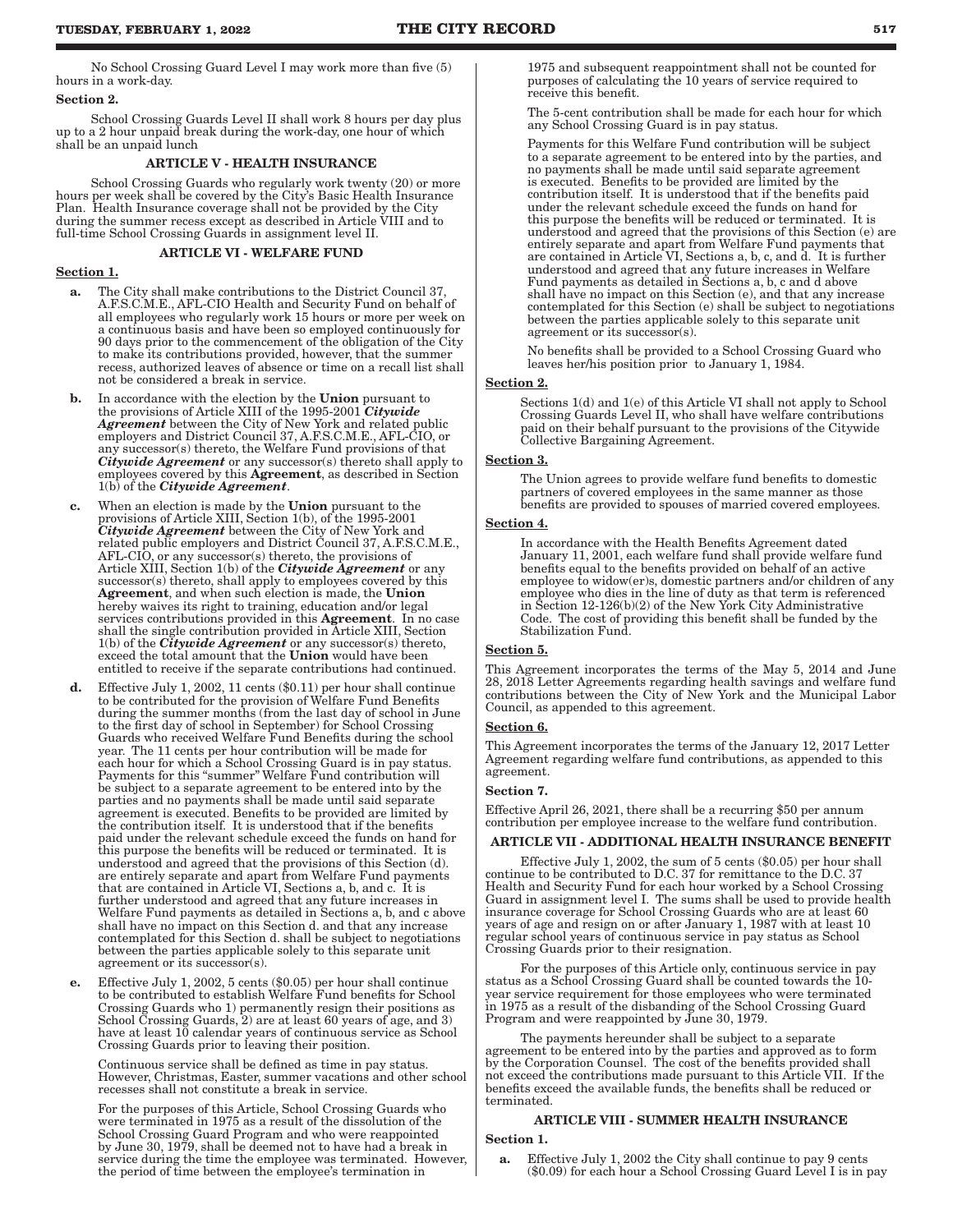No School Crossing Guard Level I may work more than five (5) hours in a work-day.

#### Section 2.

School Crossing Guards Level II shall work 8 hours per day plus up to a 2 hour unpaid break during the work-day, one hour of which shall be an unpaid lunch

### ARTICLE V - HEALTH INSURANCE

School Crossing Guards who regularly work twenty (20) or more hours per week shall be covered by the City's Basic Health Insurance Plan. Health Insurance coverage shall not be provided by the City during the summer recess except as described in Article VIII and to full-time School Crossing Guards in assignment level II.

### ARTICLE VI - WELFARE FUND

### Section 1.

- a. The City shall make contributions to the District Council 37, A.F.S.C.M.E., AFL-CIO Health and Security Fund on behalf of all employees who regularly work 15 hours or more per week on a continuous basis and have been so employed continuously for 90 days prior to the commencement of the obligation of the City to make its contributions provided, however, that the summer recess, authorized leaves of absence or time on a recall list shall not be considered a break in service.
- **b.** In accordance with the election by the **Union** pursuant to the provisions of Article XIII of the 1995-2001 *Citywide Agreement* between the City of New York and related public employers and District Council 37, A.F.S.C.M.E., AFL-CIO, or any successor(s) thereto, the Welfare Fund provisions of that *Citywide Agreement* or any successor(s) thereto shall apply to employees covered by this **Agreement**, as described in Section 1(b) of the *Citywide Agreement*.
- c. When an election is made by the Union pursuant to the provisions of Article XIII, Section 1(b), of the 1995-2001 *Citywide Agreement* between the City of New York and related public employers and District Council 37, A.F.S.C.M.E., AFL-CIO, or any successor(s) thereto, the provisions of Article XIII, Section 1(b) of the *Citywide Agreement* or any successor(s) thereto, shall apply to employees covered by this Agreement, and when such election is made, the Union hereby waives its right to training, education and/or legal services contributions provided in this **Agreement**. In no case shall the single contribution provided in Article XIII, Section 1(b) of the *Citywide Agreement* or any successor(s) thereto, exceed the total amount that the Union would have been entitled to receive if the separate contributions had continued.
- d. Effective July 1, 2002, 11 cents (\$0.11) per hour shall continue to be contributed for the provision of Welfare Fund Benefits during the summer months (from the last day of school in June to the first day of school in September) for School Crossing Guards who received Welfare Fund Benefits during the school year. The 11 cents per hour contribution will be made for each hour for which a School Crossing Guard is in pay status. Payments for this "summer" Welfare Fund contribution will be subject to a separate agreement to be entered into by the parties and no payments shall be made until said separate agreement is executed. Benefits to be provided are limited by the contribution itself. It is understood that if the benefits paid under the relevant schedule exceed the funds on hand for this purpose the benefits will be reduced or terminated. It is understood and agreed that the provisions of this Section (d). are entirely separate and apart from Welfare Fund payments that are contained in Article VI, Sections a, b, and c. It is further understood and agreed that any future increases in Welfare Fund payments as detailed in Sections a, b, and c above shall have no impact on this Section d. and that any increase contemplated for this Section d. shall be subject to negotiations between the parties applicable solely to this separate unit agreement or its successor(s).
- e. Effective July 1, 2002, 5 cents (\$0.05) per hour shall continue to be contributed to establish Welfare Fund benefits for School Crossing Guards who 1) permanently resign their positions as School Crossing Guards, 2) are at least 60 years of age, and 3) have at least 10 calendar years of continuous service as School Crossing Guards prior to leaving their position.

Continuous service shall be defined as time in pay status. However, Christmas, Easter, summer vacations and other school recesses shall not constitute a break in service.

For the purposes of this Article, School Crossing Guards who were terminated in 1975 as a result of the dissolution of the School Crossing Guard Program and who were reappointed by June 30, 1979, shall be deemed not to have had a break in service during the time the employee was terminated. However, the period of time between the employee's termination in

1975 and subsequent reappointment shall not be counted for purposes of calculating the 10 years of service required to receive this benefit.

The 5-cent contribution shall be made for each hour for which any School Crossing Guard is in pay status.

Payments for this Welfare Fund contribution will be subject to a separate agreement to be entered into by the parties, and no payments shall be made until said separate agreement is executed. Benefits to be provided are limited by the contribution itself. It is understood that if the benefits paid under the relevant schedule exceed the funds on hand for this purpose the benefits will be reduced or terminated. It is understood and agreed that the provisions of this Section (e) are entirely separate and apart from Welfare Fund payments that are contained in Article VI, Sections a, b, c, and d. It is further understood and agreed that any future increases in Welfare Fund payments as detailed in Sections a, b, c and d above shall have no impact on this Section (e), and that any increase contemplated for this Section (e) shall be subject to negotiations between the parties applicable solely to this separate unit agreement or its successor(s).

No benefits shall be provided to a School Crossing Guard who leaves her/his position prior to January 1, 1984.

### Section 2.

Sections 1(d) and 1(e) of this Article VI shall not apply to School Crossing Guards Level II, who shall have welfare contributions paid on their behalf pursuant to the provisions of the Citywide Collective Bargaining Agreement.

### Section 3.

The Union agrees to provide welfare fund benefits to domestic partners of covered employees in the same manner as those benefits are provided to spouses of married covered employees.

### Section 4.

In accordance with the Health Benefits Agreement dated January 11, 2001, each welfare fund shall provide welfare fund benefits equal to the benefits provided on behalf of an active employee to widow(er)s, domestic partners and/or children of any employee who dies in the line of duty as that term is referenced in Section 12-126(b)(2) of the New York City Administrative Code. The cost of providing this benefit shall be funded by the Stabilization Fund.

### Section 5.

This Agreement incorporates the terms of the May 5, 2014 and June 28, 2018 Letter Agreements regarding health savings and welfare fund contributions between the City of New York and the Municipal Labor Council, as appended to this agreement.

#### Section 6.

This Agreement incorporates the terms of the January 12, 2017 Letter Agreement regarding welfare fund contributions, as appended to this agreement.

### Section 7.

Effective April 26, 2021, there shall be a recurring \$50 per annum contribution per employee increase to the welfare fund contribution.

### ARTICLE VII - ADDITIONAL HEALTH INSURANCE BENEFIT

Effective July 1, 2002, the sum of 5 cents (\$0.05) per hour shall continue to be contributed to D.C. 37 for remittance to the D.C. 37 Health and Security Fund for each hour worked by a School Crossing Guard in assignment level I. The sums shall be used to provide health insurance coverage for School Crossing Guards who are at least 60 years of age and resign on or after January 1, 1987 with at least 10 regular school years of continuous service in pay status as School Crossing Guards prior to their resignation.

For the purposes of this Article only, continuous service in pay status as a School Crossing Guard shall be counted towards the 10 year service requirement for those employees who were terminated in 1975 as a result of the disbanding of the School Crossing Guard Program and were reappointed by June 30, 1979.

The payments hereunder shall be subject to a separate agreement to be entered into by the parties and approved as to form by the Corporation Counsel. The cost of the benefits provided shall not exceed the contributions made pursuant to this Article VII. If the benefits exceed the available funds, the benefits shall be reduced or terminated.

### ARTICLE VIII - SUMMER HEALTH INSURANCE

### Section 1.

a. Effective July 1, 2002 the City shall continue to pay 9 cents (\$0.09) for each hour a School Crossing Guard Level I is in pay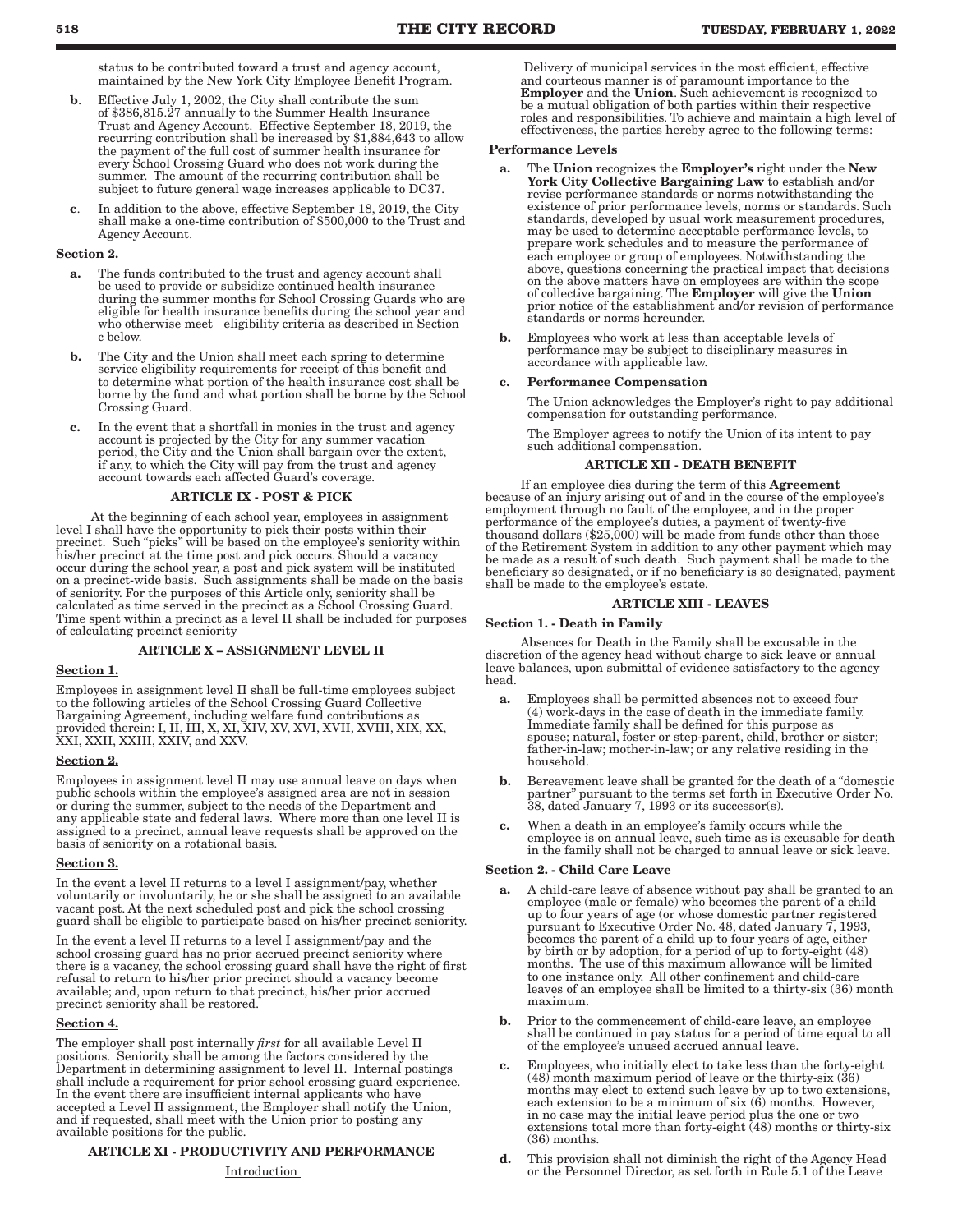status to be contributed toward a trust and agency account, maintained by the New York City Employee Benefit Program.

- b. Effective July 1, 2002, the City shall contribute the sum of \$386,815.27 annually to the Summer Health Insurance Trust and Agency Account. Effective September 18, 2019, the recurring contribution shall be increased by \$1,884,643 to allow the payment of the full cost of summer health insurance for every School Crossing Guard who does not work during the summer. The amount of the recurring contribution shall be subject to future general wage increases applicable to DC37.
- c. In addition to the above, effective September 18, 2019, the City shall make a one-time contribution of \$500,000 to the Trust and Agency Account.

#### Section 2.

- a. The funds contributed to the trust and agency account shall be used to provide or subsidize continued health insurance during the summer months for School Crossing Guards who are eligible for health insurance benefits during the school year and who otherwise meet eligibility criteria as described in Section c below.
- b. The City and the Union shall meet each spring to determine service eligibility requirements for receipt of this benefit and to determine what portion of the health insurance cost shall be borne by the fund and what portion shall be borne by the School Crossing Guard.
- c. In the event that a shortfall in monies in the trust and agency account is projected by the City for any summer vacation period, the City and the Union shall bargain over the extent, if any, to which the City will pay from the trust and agency account towards each affected Guard's coverage.

### ARTICLE IX - POST & PICK

At the beginning of each school year, employees in assignment level I shall have the opportunity to pick their posts within their precinct. Such "picks" will be based on the employee's seniority within his/her precinct at the time post and pick occurs. Should a vacancy occur during the school year, a post and pick system will be instituted on a precinct-wide basis. Such assignments shall be made on the basis of seniority. For the purposes of this Article only, seniority shall be calculated as time served in the precinct as a School Crossing Guard. Time spent within a precinct as a level II shall be included for purposes of calculating precinct seniority

### ARTICLE X – ASSIGNMENT LEVEL II

#### Section 1.

Employees in assignment level II shall be full-time employees subject to the following articles of the School Crossing Guard Collective Bargaining Agreement, including welfare fund contributions as provided therein: I, II, III, X, XI, XIV, XV, XVI, XVII, XVIII, XIX, XX, XXI, XXII, XXIII, XXIV, and XXV.

#### Section 2.

Employees in assignment level II may use annual leave on days when public schools within the employee's assigned area are not in session or during the summer, subject to the needs of the Department and any applicable state and federal laws. Where more than one level II is assigned to a precinct, annual leave requests shall be approved on the basis of seniority on a rotational basis.

#### Section 3.

In the event a level II returns to a level I assignment/pay, whether voluntarily or involuntarily, he or she shall be assigned to an available vacant post. At the next scheduled post and pick the school crossing guard shall be eligible to participate based on his/her precinct seniority.

In the event a level II returns to a level I assignment/pay and the school crossing guard has no prior accrued precinct seniority where there is a vacancy, the school crossing guard shall have the right of first refusal to return to his/her prior precinct should a vacancy become available; and, upon return to that precinct, his/her prior accrued precinct seniority shall be restored.

#### Section 4.

The employer shall post internally *first* for all available Level II positions. Seniority shall be among the factors considered by the Department in determining assignment to level II. Internal postings shall include a requirement for prior school crossing guard experience. In the event there are insufficient internal applicants who have accepted a Level II assignment, the Employer shall notify the Union, and if requested, shall meet with the Union prior to posting any available positions for the public.

### ARTICLE XI - PRODUCTIVITY AND PERFORMANCE

 Delivery of municipal services in the most efficient, effective and courteous manner is of paramount importance to the<br>**Employer** and the **Union**. Such achievement is recognized to be a mutual obligation of both parties within their respective roles and responsibilities. To achieve and maintain a high level of effectiveness, the parties hereby agree to the following terms:

#### Performance Levels

- a. The Union recognizes the Employer's right under the New York City Collective Bargaining Law to establish and/or revise performance standards or norms notwithstanding the existence of prior performance levels, norms or standards. Such standards, developed by usual work measurement procedures, may be used to determine acceptable performance levels, to prepare work schedules and to measure the performance of each employee or group of employees. Notwithstanding the above, questions concerning the practical impact that decisions on the above matters have on employees are within the scope of collective bargaining. The Employer will give the Union prior notice of the establishment and/or revision of performance standards or norms hereunder.
- b. Employees who work at less than acceptable levels of performance may be subject to disciplinary measures in accordance with applicable law.

### c. Performance Compensation

The Union acknowledges the Employer's right to pay additional compensation for outstanding performance.

The Employer agrees to notify the Union of its intent to pay such additional compensation.

### ARTICLE XII - DEATH BENEFIT

If an employee dies during the term of this Agreement because of an injury arising out of and in the course of the employee's employment through no fault of the employee, and in the proper performance of the employee's duties, a payment of twenty-five thousand dollars  $(\$25,000)$  will be made from funds other than those of the Retirement System in addition to any other payment which may be made as a result of such death. Such payment shall be made to the beneficiary so designated, or if no beneficiary is so designated, payment shall be made to the employee's estate.

### ARTICLE XIII - LEAVES

#### Section 1. - Death in Family

Absences for Death in the Family shall be excusable in the discretion of the agency head without charge to sick leave or annual leave balances, upon submittal of evidence satisfactory to the agency head.

- a. Employees shall be permitted absences not to exceed four (4) work-days in the case of death in the immediate family. Immediate family shall be defined for this purpose as spouse; natural, foster or step-parent, child, brother or sister; father-in-law; mother-in-law; or any relative residing in the household.
- b. Bereavement leave shall be granted for the death of a "domestic partner" pursuant to the terms set forth in Executive Order No. 38, dated January 7, 1993 or its successor(s).
- c. When a death in an employee's family occurs while the employee is on annual leave, such time as is excusable for death in the family shall not be charged to annual leave or sick leave.

### Section 2. - Child Care Leave

- a. A child-care leave of absence without pay shall be granted to an employee (male or female) who becomes the parent of a child up to four years of age (or whose domestic partner registered pursuant to Executive Order No. 48, dated January 7, 1993, becomes the parent of a child up to four years of age, either by birth or by adoption, for a period of up to forty-eight (48) months. The use of this maximum allowance will be limited to one instance only. All other confinement and child-care leaves of an employee shall be limited to a thirty-six (36) month maximum.
- b. Prior to the commencement of child-care leave, an employee shall be continued in pay status for a period of time equal to all of the employee's unused accrued annual leave.
- c. Employees, who initially elect to take less than the forty-eight (48) month maximum period of leave or the thirty-six (36) months may elect to extend such leave by up to two extensions, each extension to be a minimum of six (6) months. However, in no case may the initial leave period plus the one or two extensions total more than forty-eight (48) months or thirty-six (36) months.
- d. This provision shall not diminish the right of the Agency Head or the Personnel Director, as set forth in Rule 5.1 of the Leave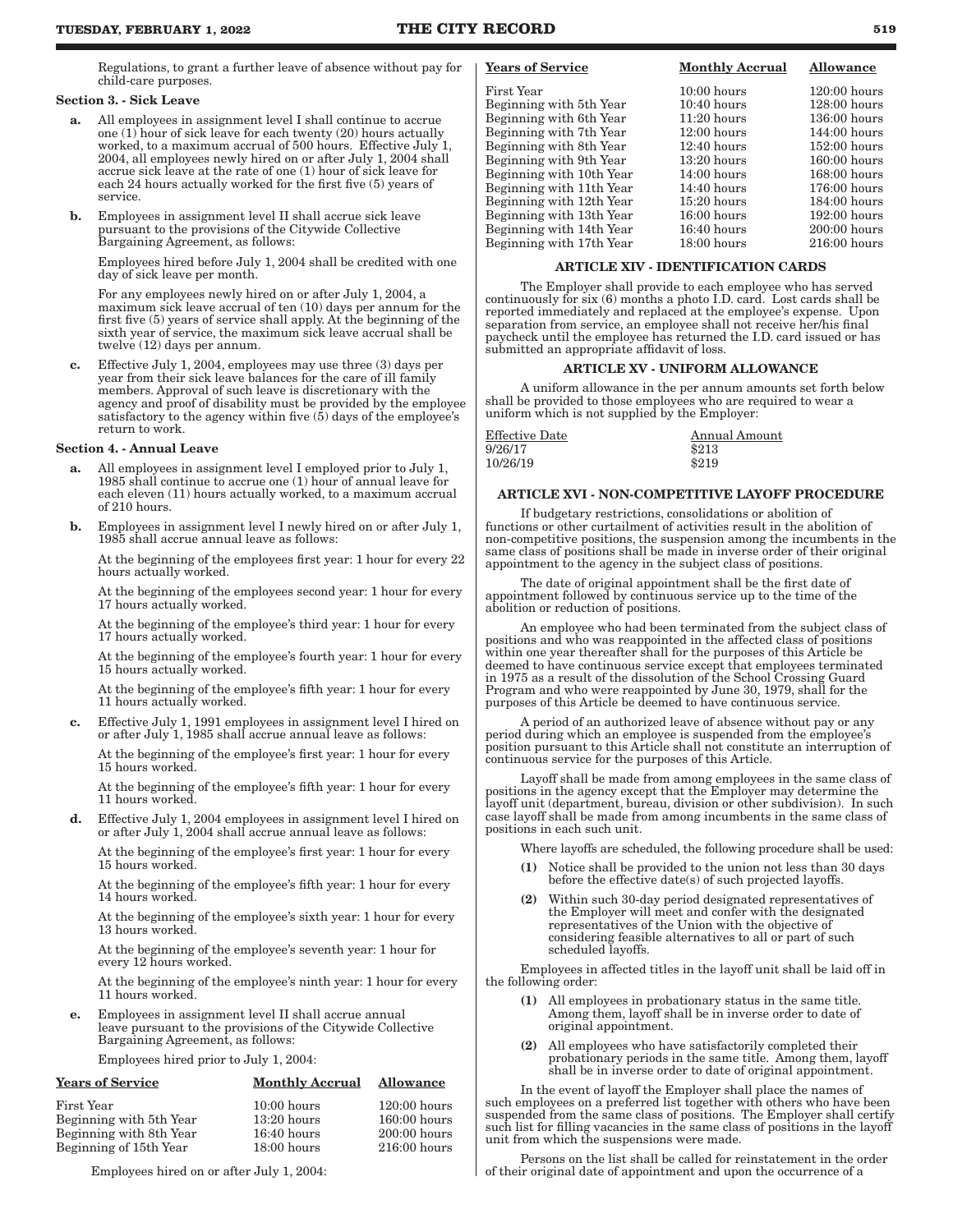Regulations, to grant a further leave of absence without pay for child-care purposes.

### Section 3. - Sick Leave

- a. All employees in assignment level I shall continue to accrue one (1) hour of sick leave for each twenty (20) hours actually worked, to a maximum accrual of 500 hours. Effective July 1, 2004, all employees newly hired on or after July 1, 2004 shall accrue sick leave at the rate of one (1) hour of sick leave for each 24 hours actually worked for the first five (5) years of service.
- b. Employees in assignment level II shall accrue sick leave pursuant to the provisions of the Citywide Collective Bargaining Agreement, as follows:

Employees hired before July 1, 2004 shall be credited with one day of sick leave per month.

For any employees newly hired on or after July 1, 2004, a maximum sick leave accrual of ten (10) days per annum for the first five (5) years of service shall apply. At the beginning of the sixth year of service, the maximum sick leave accrual shall be twelve (12) days per annum.

c. Effective July 1, 2004, employees may use three (3) days per year from their sick leave balances for the care of ill family members. Approval of such leave is discretionary with the agency and proof of disability must be provided by the employee satisfactory to the agency within five (5) days of the employee's return to work.

### Section 4. - Annual Leave

- a. All employees in assignment level I employed prior to July 1, 1985 shall continue to accrue one (1) hour of annual leave for each eleven (11) hours actually worked, to a maximum accrual of 210 hours.
- b. Employees in assignment level I newly hired on or after July 1, 1985 shall accrue annual leave as follows:

At the beginning of the employees first year: 1 hour for every 22 hours actually worked.

At the beginning of the employees second year: 1 hour for every 17 hours actually worked.

At the beginning of the employee's third year: 1 hour for every 17 hours actually worked.

At the beginning of the employee's fourth year: 1 hour for every 15 hours actually worked.

At the beginning of the employee's fifth year: 1 hour for every 11 hours actually worked.

c. Effective July 1, 1991 employees in assignment level I hired on or after July 1, 1985 shall accrue annual leave as follows:

At the beginning of the employee's first year: 1 hour for every 15 hours worked.

At the beginning of the employee's fifth year: 1 hour for every 11 hours worked.

d. Effective July 1, 2004 employees in assignment level I hired on or after July 1, 2004 shall accrue annual leave as follows:

At the beginning of the employee's first year: 1 hour for every 15 hours worked.

At the beginning of the employee's fifth year: 1 hour for every 14 hours worked.

At the beginning of the employee's sixth year: 1 hour for every 13 hours worked.

At the beginning of the employee's seventh year: 1 hour for every 12 hours worked.

At the beginning of the employee's ninth year: 1 hour for every 11 hours worked.

e. Employees in assignment level II shall accrue annual leave pursuant to the provisions of the Citywide Collective Bargaining Agreement, as follows:

Employees hired prior to July 1, 2004:

| <b>Years of Service</b> | <b>Monthly Accrual</b> | <b>Allowance</b> |
|-------------------------|------------------------|------------------|
| First Year              | $10:00$ hours          | $120:00$ hours   |
| Beginning with 5th Year | $13:20$ hours          | $160:00$ hours   |
| Beginning with 8th Year | $16:40$ hours          | $200:00$ hours   |
| Beginning of 15th Year  | $18:00$ hours          | $216:00$ hours   |

Employees hired on or after July 1, 2004:

### Years of Service Monthly Accrual Allowance

| First Year               | $10:00$ hours | $120:00$ hours |
|--------------------------|---------------|----------------|
| Beginning with 5th Year  | $10:40$ hours | $128:00$ hours |
| Beginning with 6th Year  | $11:20$ hours | $136:00$ hours |
| Beginning with 7th Year  | $12:00$ hours | $144:00$ hours |
| Beginning with 8th Year  | $12:40$ hours | $152:00$ hours |
| Beginning with 9th Year  | $13:20$ hours | $160:00$ hours |
| Beginning with 10th Year | $14:00$ hours | $168:00$ hours |
| Beginning with 11th Year | $14:40$ hours | $176:00$ hours |
| Beginning with 12th Year | $15:20$ hours | $184:00$ hours |
| Beginning with 13th Year | $16:00$ hours | $192:00$ hours |
| Beginning with 14th Year | $16:40$ hours | $200:00$ hours |
| Beginning with 17th Year | $18:00$ hours | $216:00$ hours |
|                          |               |                |

### ARTICLE XIV - IDENTIFICATION CARDS

The Employer shall provide to each employee who has served continuously for  $\sin(6)$  months a photo I.D. card. Lost cards shall be reported immediately and replaced at the employee's expense. Upon separation from service, an employee shall not receive her/his final paycheck until the employee has returned the I.D. card issued or has submitted an appropriate affidavit of loss.

### ARTICLE XV - UNIFORM ALLOWANCE

A uniform allowance in the per annum amounts set forth below shall be provided to those employees who are required to wear a uniform which is not supplied by the Employer:

| Effective Date | Annual Amount |
|----------------|---------------|
| 9/26/17        | \$213         |
| 10/26/19       | \$219         |
|                |               |

### ARTICLE XVI - NON-COMPETITIVE LAYOFF PROCEDURE

If budgetary restrictions, consolidations or abolition of functions or other curtailment of activities result in the abolition of non-competitive positions, the suspension among the incumbents in the same class of positions shall be made in inverse order of their original appointment to the agency in the subject class of positions.

The date of original appointment shall be the first date of appointment followed by continuous service up to the time of the abolition or reduction of positions.

An employee who had been terminated from the subject class of positions and who was reappointed in the affected class of positions within one year thereafter shall for the purposes of this Article be deemed to have continuous service except that employees terminated in 1975 as a result of the dissolution of the School Crossing Guard Program and who were reappointed by June 30, 1979, shall for the purposes of this Article be deemed to have continuous service.

A period of an authorized leave of absence without pay or any period during which an employee is suspended from the employee's position pursuant to this Article shall not constitute an interruption of continuous service for the purposes of this Article.

Layoff shall be made from among employees in the same class of positions in the agency except that the Employer may determine the layoff unit (department, bureau, division or other subdivision). In such case layoff shall be made from among incumbents in the same class of positions in each such unit.

Where layoffs are scheduled, the following procedure shall be used:

- (1) Notice shall be provided to the union not less than 30 days before the effective date(s) of such projected layoffs.
- (2) Within such 30-day period designated representatives of the Employer will meet and confer with the designated representatives of the Union with the objective of considering feasible alternatives to all or part of such scheduled layoffs.

Employees in affected titles in the layoff unit shall be laid off in the following order:

- (1) All employees in probationary status in the same title. Among them, layoff shall be in inverse order to date of original appointment.
- (2) All employees who have satisfactorily completed their probationary periods in the same title. Among them, layoff shall be in inverse order to date of original appointment.

In the event of layoff the Employer shall place the names of such employees on a preferred list together with others who have been suspended from the same class of positions. The Employer shall certify such list for filling vacancies in the same class of positions in the layoff unit from which the suspensions were made.

Persons on the list shall be called for reinstatement in the order of their original date of appointment and upon the occurrence of a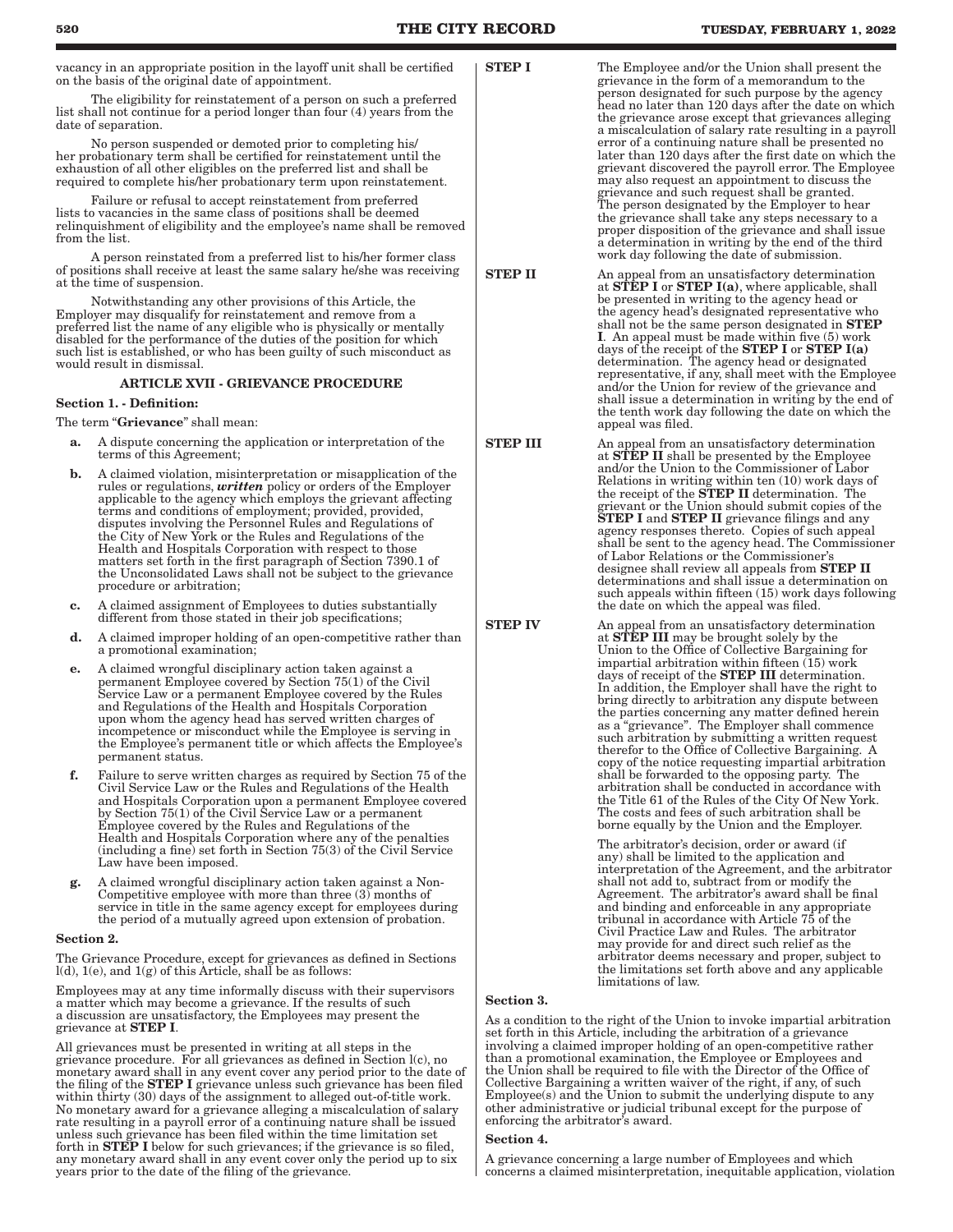vacancy in an appropriate position in the layoff unit shall be certified on the basis of the original date of appointment.

The eligibility for reinstatement of a person on such a preferred list shall not continue for a period longer than four (4) years from the date of separation.

No person suspended or demoted prior to completing his/ her probationary term shall be certified for reinstatement until the exhaustion of all other eligibles on the preferred list and shall be required to complete his/her probationary term upon reinstatement.

Failure or refusal to accept reinstatement from preferred lists to vacancies in the same class of positions shall be deemed relinquishment of eligibility and the employee's name shall be removed from the list.

A person reinstated from a preferred list to his/her former class of positions shall receive at least the same salary he/she was receiving at the time of suspension.

Notwithstanding any other provisions of this Article, the Employer may disqualify for reinstatement and remove from a preferred list the name of any eligible who is physically or mentally disabled for the performance of the duties of the position for which such list is established, or who has been guilty of such misconduct as would result in dismissal.

### ARTICLE XVII - GRIEVANCE PROCEDURE

### Section 1. - Definition:

The term "Grievance" shall mean:

- a. A dispute concerning the application or interpretation of the terms of this Agreement;
- b. A claimed violation, misinterpretation or misapplication of the rules or regulations, *written* policy or orders of the Employer applicable to the agency which employs the grievant affecting terms and conditions of employment; provided, provided, disputes involving the Personnel Rules and Regulations of the City of New York or the Rules and Regulations of the Health and Hospitals Corporation with respect to those matters set forth in the first paragraph of Section 7390.1 of the Unconsolidated Laws shall not be subject to the grievance procedure or arbitration;
- c. A claimed assignment of Employees to duties substantially different from those stated in their job specifications;
- d. A claimed improper holding of an open-competitive rather than a promotional examination;
- e. A claimed wrongful disciplinary action taken against a permanent Employee covered by Section 75(1) of the Civil Service Law or a permanent Employee covered by the Rules and Regulations of the Health and Hospitals Corporation upon whom the agency head has served written charges of incompetence or misconduct while the Employee is serving in the Employee's permanent title or which affects the Employee's permanent status.
- f. Failure to serve written charges as required by Section 75 of the Civil Service Law or the Rules and Regulations of the Health and Hospitals Corporation upon a permanent Employee covered by Section 75(1) of the Civil Service Law or a permanent Employee covered by the Rules and Regulations of the Health and Hospitals Corporation where any of the penalties (including a fine) set forth in Section 75(3) of the Civil Service Law have been imposed.
- g. A claimed wrongful disciplinary action taken against a Non-Competitive employee with more than three (3) months of service in title in the same agency except for employees during the period of a mutually agreed upon extension of probation.

### Section 2.

The Grievance Procedure, except for grievances as defined in Sections  $l(d)$ ,  $l(e)$ , and  $l(g)$  of this Article, shall be as follows:

Employees may at any time informally discuss with their supervisors a matter which may become a grievance. If the results of such a discussion are unsatisfactory, the Employees may present the grievance at STEP I.

All grievances must be presented in writing at all steps in the grievance procedure. For all grievances as defined in Section l(c), no monetary award shall in any event cover any period prior to the date of the filing of the STEP I grievance unless such grievance has been filed within thirty (30) days of the assignment to alleged out-of-title work. No monetary award for a grievance alleging a miscalculation of salary rate resulting in a payroll error of a continuing nature shall be issued unless such grievance has been filed within the time limitation set forth in STEP I below for such grievances; if the grievance is so filed, any monetary award shall in any event cover only the period up to six years prior to the date of the filing of the grievance.

**STEP I** The Employee and/or the Union shall present the grievance in the form of a memorandum to the person designated for such purpose by the agency head no later than 120 days after the date on which the grievance arose except that grievances alleging a miscalculation of salary rate resulting in a payroll error of a continuing nature shall be presented no later than 120 days after the first date on which the grievant discovered the payroll error. The Employee may also request an appointment to discuss the grievance and such request shall be granted. The person designated by the Employer to hear the grievance shall take any steps necessary to a proper disposition of the grievance and shall issue a determination in writing by the end of the third work day following the date of submission.

- **STEP II** An appeal from an unsatisfactory determination at **STEP I** or **STEP I(a)**, where applicable, shall be presented in writing to the agency head or the agency head's designated representative who shall not be the same person designated in **STEP** I. An appeal must be made within five (5) work days of the receipt of the STEP I or STEP I(a) determination. The agency head or designated representative, if any, shall meet with the Employee and/or the Union for review of the grievance and shall issue a determination in writing by the end of the tenth work day following the date on which the appeal was filed.
- **STEP III** An appeal from an unsatisfactory determination at **STEP II** shall be presented by the Employee and/or the Union to the Commissioner of Labor Relations in writing within ten (10) work days of the receipt of the **STEP II** determination. The grievant or the Union should submit copies of the<br>**STEP I** and **STEP II** grievance filings and any agency responses thereto. Copies of such appeal shall be sent to the agency head. The Commissioner of Labor Relations or the Commissioner's designee shall review all appeals from STEP II determinations and shall issue a determination on such appeals within fifteen (15) work days following the date on which the appeal was filed.

**STEP IV** An appeal from an unsatisfactory determination at **STEP III** may be brought solely by the Union to the Office of Collective Bargaining for impartial arbitration within fifteen (15) work days of receipt of the STEP III determination. In addition, the Employer shall have the right to bring directly to arbitration any dispute between the parties concerning any matter defined herein as a "grievance". The Employer shall commence such arbitration by submitting a written request therefor to the Office of Collective Bargaining. A copy of the notice requesting impartial arbitration shall be forwarded to the opposing party. The arbitration shall be conducted in accordance with the Title 61 of the Rules of the City Of New York. The costs and fees of such arbitration shall be borne equally by the Union and the Employer.

> The arbitrator's decision, order or award (if any) shall be limited to the application and interpretation of the Agreement, and the arbitrator shall not add to, subtract from or modify the Agreement. The arbitrator's award shall be final and binding and enforceable in any appropriate tribunal in accordance with Article 75 of the Civil Practice Law and Rules. The arbitrator may provide for and direct such relief as the arbitrator deems necessary and proper, subject to the limitations set forth above and any applicable limitations of law.

### Section 3.

As a condition to the right of the Union to invoke impartial arbitration set forth in this Article, including the arbitration of a grievance involving a claimed improper holding of an open-competitive rather than a promotional examination, the Employee or Employees and the Union shall be required to file with the Director of the Office of Collective Bargaining a written waiver of the right, if any, of such Employee(s) and the Union to submit the underlying dispute to any other administrative or judicial tribunal except for the purpose of enforcing the arbitrator's award.

### Section 4.

A grievance concerning a large number of Employees and which concerns a claimed misinterpretation, inequitable application, violation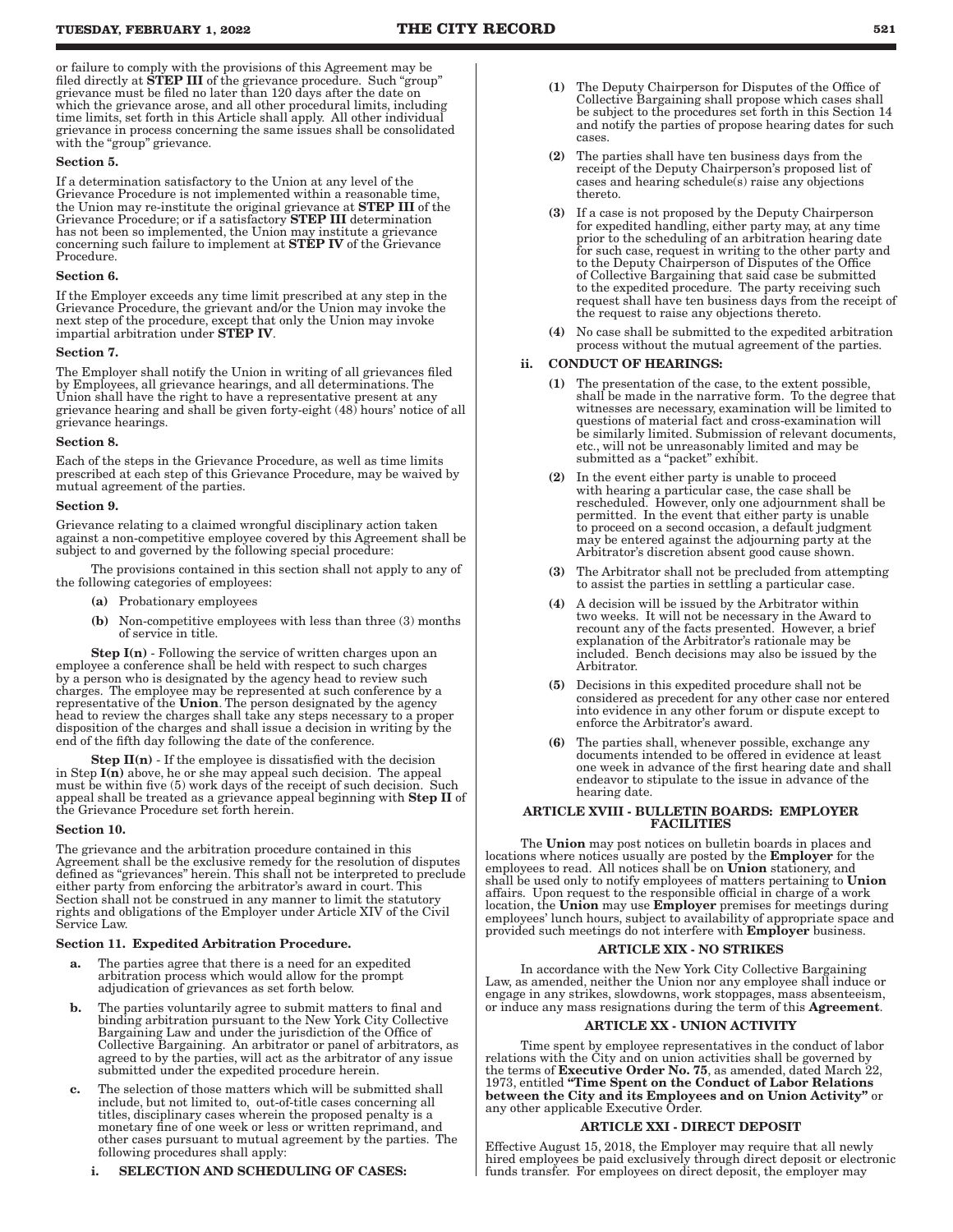or failure to comply with the provisions of this Agreement may be filed directly at **STEP III** of the grievance procedure. Such "group" grievance must be filed no later than 120 days after the date on which the grievance arose, and all other procedural limits, including time limits, set forth in this Article shall apply. All other individual grievance in process concerning the same issues shall be consolidated with the "group" grievance.

### Section 5.

If a determination satisfactory to the Union at any level of the Grievance Procedure is not implemented within a reasonable time, the Union may re-institute the original grievance at STEP III of the Grievance Procedure; or if a satisfactory STEP III determination has not been so implemented, the Union may institute a grievance concerning such failure to implement at STEP IV of the Grievance Procedure.

#### Section 6.

If the Employer exceeds any time limit prescribed at any step in the Grievance Procedure, the grievant and/or the Union may invoke the next step of the procedure, except that only the Union may invoke impartial arbitration under STEP IV.

### Section 7.

The Employer shall notify the Union in writing of all grievances filed by Employees, all grievance hearings, and all determinations. The Union shall have the right to have a representative present at any grievance hearing and shall be given forty-eight (48) hours' notice of all grievance hearings.

#### Section 8.

Each of the steps in the Grievance Procedure, as well as time limits prescribed at each step of this Grievance Procedure, may be waived by mutual agreement of the parties.

### Section 9.

Grievance relating to a claimed wrongful disciplinary action taken against a non-competitive employee covered by this Agreement shall be subject to and governed by the following special procedure:

The provisions contained in this section shall not apply to any of the following categories of employees:

- (a) Probationary employees
- (b) Non-competitive employees with less than three (3) months of service in title.

**Step I(n)** - Following the service of written charges upon an employee a conference shall be held with respect to such charges by a person who is designated by the agency head to review such charges. The employee may be represented at such conference by a representative of the **Union**. The person designated by the agency head to review the charges shall take any steps necessary to a proper disposition of the charges and shall issue a decision in writing by the end of the fifth day following the date of the conference.

**Step II(n)** - If the employee is dissatisfied with the decision in Step  $I(n)$  above, he or she may appeal such decision. The appeal must be within five (5) work days of the receipt of such decision. Such appeal shall be treated as a grievance appeal beginning with Step II of the Grievance Procedure set forth herein.

#### Section 10.

The grievance and the arbitration procedure contained in this Agreement shall be the exclusive remedy for the resolution of disputes defined as "grievances" herein. This shall not be interpreted to preclude either party from enforcing the arbitrator's award in court. This Section shall not be construed in any manner to limit the statutory rights and obligations of the Employer under Article XIV of the Civil Service Law.

#### Section 11. Expedited Arbitration Procedure.

- a. The parties agree that there is a need for an expedited arbitration process which would allow for the prompt adjudication of grievances as set forth below.
- b. The parties voluntarily agree to submit matters to final and binding arbitration pursuant to the New York City Collective Bargaining Law and under the jurisdiction of the Office of Collective Bargaining. An arbitrator or panel of arbitrators, as agreed to by the parties, will act as the arbitrator of any issue submitted under the expedited procedure herein.
- c. The selection of those matters which will be submitted shall include, but not limited to, out-of-title cases concerning all titles, disciplinary cases wherein the proposed penalty is a monetary fine of one week or less or written reprimand, and other cases pursuant to mutual agreement by the parties. The following procedures shall apply:

### i. SELECTION AND SCHEDULING OF CASES:

- (1) The Deputy Chairperson for Disputes of the Office of Collective Bargaining shall propose which cases shall be subject to the procedures set forth in this Section 14 and notify the parties of propose hearing dates for such cases.
- (2) The parties shall have ten business days from the receipt of the Deputy Chairperson's proposed list of cases and hearing schedule(s) raise any objections thereto.
- (3) If a case is not proposed by the Deputy Chairperson for expedited handling, either party may, at any time prior to the scheduling of an arbitration hearing date for such case, request in writing to the other party and to the Deputy Chairperson of Disputes of the Office of Collective Bargaining that said case be submitted to the expedited procedure. The party receiving such request shall have ten business days from the receipt of the request to raise any objections thereto.
- (4) No case shall be submitted to the expedited arbitration process without the mutual agreement of the parties.

### ii. CONDUCT OF HEARINGS:

- (1) The presentation of the case, to the extent possible, shall be made in the narrative form. To the degree that witnesses are necessary, examination will be limited to questions of material fact and cross-examination will be similarly limited. Submission of relevant documents, etc., will not be unreasonably limited and may be submitted as a "packet" exhibit.
- (2) In the event either party is unable to proceed with hearing a particular case, the case shall be rescheduled. However, only one adjournment shall be permitted. In the event that either party is unable to proceed on a second occasion, a default judgment may be entered against the adjourning party at the Arbitrator's discretion absent good cause shown.
- (3) The Arbitrator shall not be precluded from attempting to assist the parties in settling a particular case.
- (4) A decision will be issued by the Arbitrator within two weeks. It will not be necessary in the Award to recount any of the facts presented. However, a brief explanation of the Arbitrator's rationale may be included. Bench decisions may also be issued by the Arbitrator.
- (5) Decisions in this expedited procedure shall not be considered as precedent for any other case nor entered into evidence in any other forum or dispute except to enforce the Arbitrator's award.
- (6) The parties shall, whenever possible, exchange any documents intended to be offered in evidence at least one week in advance of the first hearing date and shall endeavor to stipulate to the issue in advance of the hearing date.

### ARTICLE XVIII - BULLETIN BOARDS: EMPLOYER **FACILITIES**

The Union may post notices on bulletin boards in places and locations where notices usually are posted by the Employer for the employees to read. All notices shall be on Union stationery, and shall be used only to notify employees of matters pertaining to Union affairs. Upon request to the responsible official in charge of a work location, the Union may use Employer premises for meetings during employees' lunch hours, subject to availability of appropriate space and provided such meetings do not interfere with **Employer** business.

### ARTICLE XIX - NO STRIKES

In accordance with the New York City Collective Bargaining Law, as amended, neither the Union nor any employee shall induce or engage in any strikes, slowdowns, work stoppages, mass absenteeism, or induce any mass resignations during the term of this Agreement.

### ARTICLE XX - UNION ACTIVITY

Time spent by employee representatives in the conduct of labor relations with the City and on union activities shall be governed by<br>the terms of **Executive Order No. 75**, as amended, dated March 22, 1973, entitled "Time Spent on the Conduct of Labor Relations between the City and its Employees and on Union Activity" or any other applicable Executive Order.

### ARTICLE XXI - DIRECT DEPOSIT

Effective August 15, 2018, the Employer may require that all newly hired employees be paid exclusively through direct deposit or electronic funds transfer. For employees on direct deposit, the employer may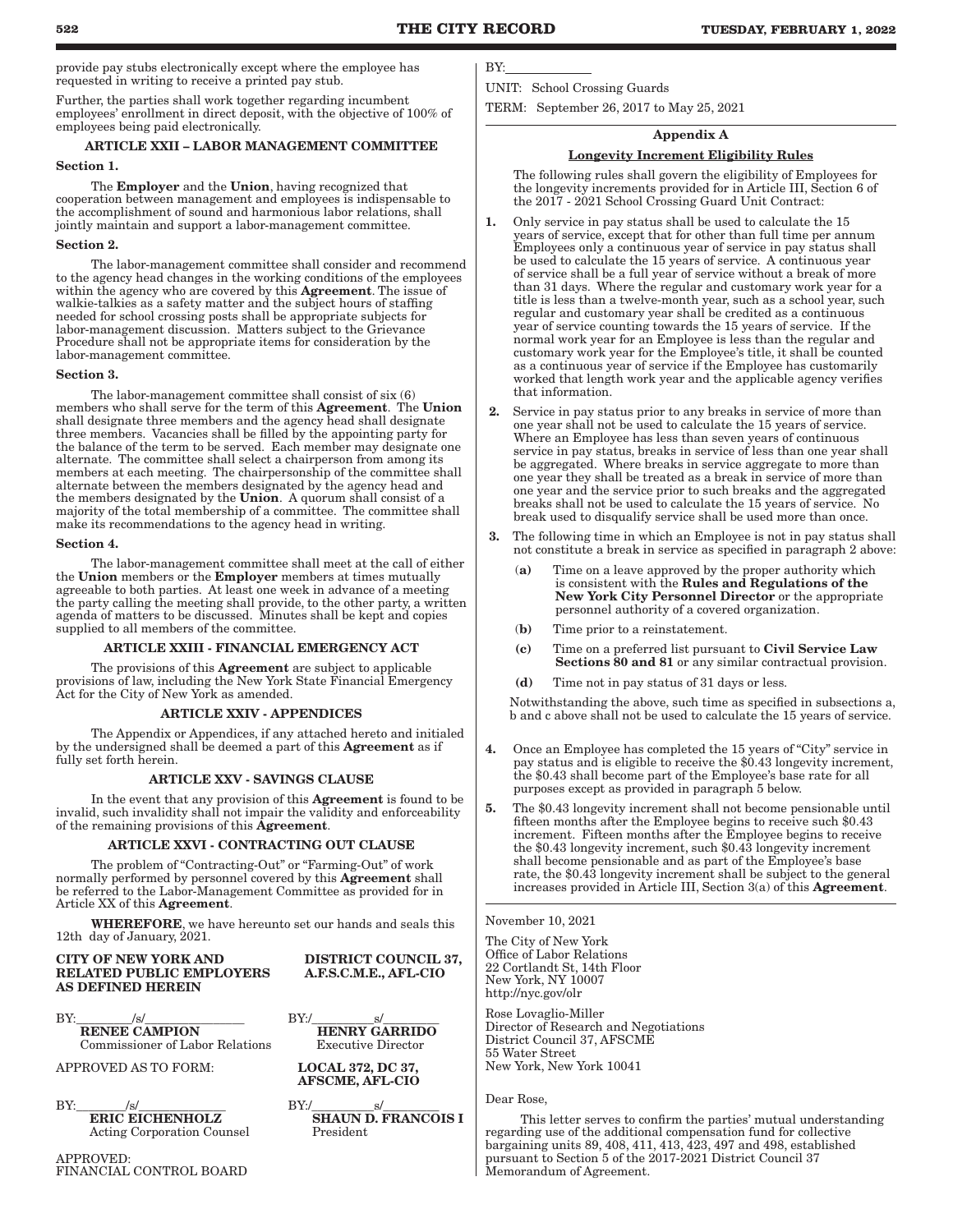provide pay stubs electronically except where the employee has requested in writing to receive a printed pay stub.

Further, the parties shall work together regarding incumbent employees' enrollment in direct deposit, with the objective of 100% of employees being paid electronically.

# ARTICLE XXII – LABOR MANAGEMENT COMMITTEE

#### Section 1.

The Employer and the Union, having recognized that cooperation between management and employees is indispensable to the accomplishment of sound and harmonious labor relations, shall jointly maintain and support a labor-management committee.

### Section 2.

The labor-management committee shall consider and recommend to the agency head changes in the working conditions of the employees within the agency who are covered by this Agreement. The issue of walkie-talkies as a safety matter and the subject hours of staffing needed for school crossing posts shall be appropriate subjects for labor-management discussion. Matters subject to the Grievance Procedure shall not be appropriate items for consideration by the labor-management committee.

### Section 3.

The labor-management committee shall consist of six (6) members who shall serve for the term of this Agreement. The Union shall designate three members and the agency head shall designate three members. Vacancies shall be filled by the appointing party for the balance of the term to be served. Each member may designate one alternate. The committee shall select a chairperson from among its members at each meeting. The chairpersonship of the committee shall alternate between the members designated by the agency head and the members designated by the Union. A quorum shall consist of a majority of the total membership of a committee. The committee shall make its recommendations to the agency head in writing.

### Section 4.

The labor-management committee shall meet at the call of either the Union members or the Employer members at times mutually agreeable to both parties. At least one week in advance of a meeting the party calling the meeting shall provide, to the other party, a written agenda of matters to be discussed. Minutes shall be kept and copies supplied to all members of the committee.

### ARTICLE XXIII - FINANCIAL EMERGENCY ACT

The provisions of this **Agreement** are subject to applicable provisions of law, including the New York State Financial Emergency Act for the City of New York as amended.

### ARTICLE XXIV - APPENDICES

The Appendix or Appendices, if any attached hereto and initialed by the undersigned shall be deemed a part of this Agreement as if fully set forth herein.

### ARTICLE XXV - SAVINGS CLAUSE

In the event that any provision of this Agreement is found to be invalid, such invalidity shall not impair the validity and enforceability of the remaining provisions of this Agreement.

### ARTICLE XXVI - CONTRACTING OUT CLAUSE

The problem of "Contracting-Out" or "Farming-Out" of work normally performed by personnel covered by this Agreement shall be referred to the Labor-Management Committee as provided for in Article XX of this Agreement.

WHEREFORE, we have hereunto set our hands and seals this 12th day of January, 2021.

AFSCME, AFL-CIO

CITY OF NEW YORK AND DISTRICT COUNCIL 37,<br>RELATED PUBLIC EMPLOYERS A.F.S.C.M.E., AFL-CIO RELATED PUBLIC EMPLOYERS AS DEFINED HEREIN

BY:\_\_\_\_\_\_\_\_\_/s/\_\_\_\_\_\_\_\_\_\_\_\_\_\_\_\_ BY:/\_\_\_\_\_\_\_\_\_\_s/\_\_\_\_\_\_\_\_\_ **RENEE CAMPION HENRY GARRIDO**<br>Commissioner of Labor Relations Executive Director Commissioner of Labor Relations

APPROVED AS TO FORM: LOCAL 372, DC 37,

BY:\_\_\_\_\_\_\_\_/s/\_\_\_\_\_\_\_\_\_\_\_\_\_\_ BY:/\_\_\_\_\_\_\_\_\_\_s/\_\_\_\_\_\_\_\_\_ ERIC EICHENHOLZ SHAUN D. FRANCOIS I Acting Corporation Counsel President

APPROVED: FINANCIAL CONTROL BOARD BY:

UNIT: School Crossing Guards

TERM: September 26, 2017 to May 25, 2021

### Appendix A

### Longevity Increment Eligibility Rules

The following rules shall govern the eligibility of Employees for the longevity increments provided for in Article III, Section 6 of the 2017 - 2021 School Crossing Guard Unit Contract:

- 1. Only service in pay status shall be used to calculate the 15 years of service, except that for other than full time per annum Employees only a continuous year of service in pay status shall be used to calculate the 15 years of service. A continuous year of service shall be a full year of service without a break of more than 31 days. Where the regular and customary work year for a title is less than a twelve-month year, such as a school year, such regular and customary year shall be credited as a continuous year of service counting towards the 15 years of service. If the normal work year for an Employee is less than the regular and customary work year for the Employee's title, it shall be counted as a continuous year of service if the Employee has customarily worked that length work year and the applicable agency verifies that information.
- 2. Service in pay status prior to any breaks in service of more than one year shall not be used to calculate the 15 years of service. Where an Employee has less than seven years of continuous service in pay status, breaks in service of less than one year shall be aggregated. Where breaks in service aggregate to more than one year they shall be treated as a break in service of more than one year and the service prior to such breaks and the aggregated breaks shall not be used to calculate the 15 years of service. No break used to disqualify service shall be used more than once.
- The following time in which an Employee is not in pay status shall not constitute a break in service as specified in paragraph 2 above:
	- Time on a leave approved by the proper authority which is consistent with the Rules and Regulations of the New York City Personnel Director or the appropriate personnel authority of a covered organization.
	- (b) Time prior to a reinstatement.
	- (c) Time on a preferred list pursuant to Civil Service Law Sections 80 and 81 or any similar contractual provision.
	- (d) Time not in pay status of 31 days or less.

Notwithstanding the above, such time as specified in subsections a, b and c above shall not be used to calculate the 15 years of service.

- 4. Once an Employee has completed the 15 years of "City" service in pay status and is eligible to receive the \$0.43 longevity increment, the \$0.43 shall become part of the Employee's base rate for all purposes except as provided in paragraph 5 below.
- 5. The \$0.43 longevity increment shall not become pensionable until fifteen months after the Employee begins to receive such \$0.43 increment. Fifteen months after the Employee begins to receive the \$0.43 longevity increment, such \$0.43 longevity increment shall become pensionable and as part of the Employee's base rate, the \$0.43 longevity increment shall be subject to the general increases provided in Article III, Section 3(a) of this Agreement.

November 10, 2021

The City of New York Office of Labor Relations 22 Cortlandt St, 14th Floor New York, NY 10007 http://nyc.gov/olr

Rose Lovaglio-Miller Director of Research and Negotiations District Council 37, AFSCME 55 Water Street New York, New York 10041

### Dear Rose,

This letter serves to confirm the parties' mutual understanding regarding use of the additional compensation fund for collective bargaining units 89, 408, 411, 413, 423, 497 and 498, established pursuant to Section 5 of the 2017-2021 District Council 37 Memorandum of Agreement.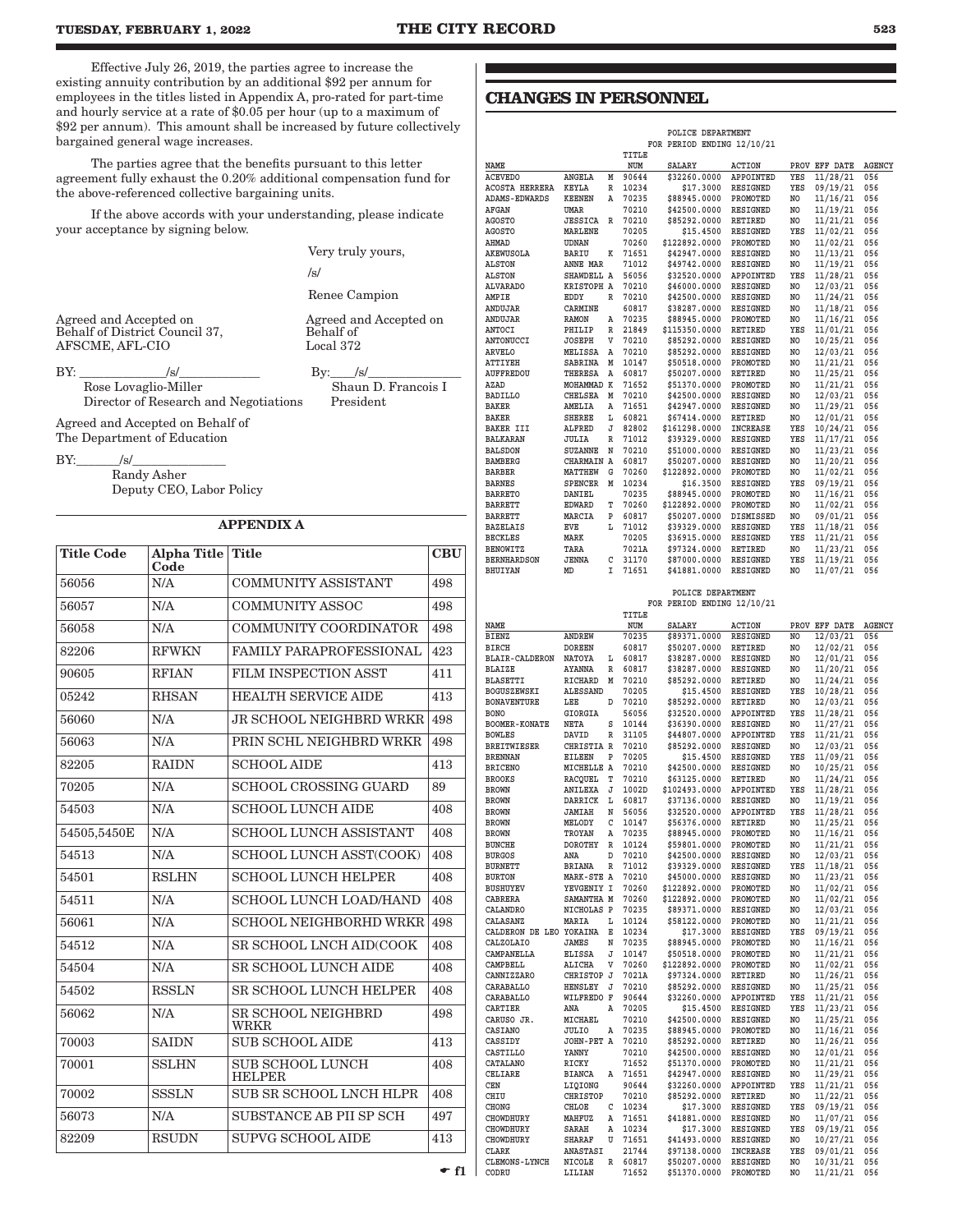Effective July 26, 2019, the parties agree to increase the existing annuity contribution by an additional \$92 per annum for employees in the titles listed in Appendix A, pro-rated for part-time and hourly service at a rate of \$0.05 per hour (up to a maximum of \$92 per annum). This amount shall be increased by future collectively bargained general wage increases.

The parties agree that the benefits pursuant to this letter agreement fully exhaust the 0.20% additional compensation fund for the above-referenced collective bargaining units.

If the above accords with your understanding, please indicate your acceptance by signing below.

Very truly yours,

/s/

Behalf of

Renee Campion

Agreed and Accepted on

Agreed and Accepted on Behalf of District Council 37, AFSCME, AFL-CIO Local 372

BY: \_\_\_\_\_\_\_\_\_\_\_\_\_\_/s/\_\_\_\_\_\_\_\_\_\_\_\_\_ By:\_\_\_\_/s/\_\_\_\_\_\_\_\_\_\_\_\_\_\_\_ Rose Lovaglio-Miller Shaun D. Francois I<br>Director of Research and Negotiations President Director of Research and Negotiations

Agreed and Accepted on Behalf of The Department of Education

 $BY:$  /s/

Randy Asher Deputy CEO, Labor Policy

### APPENDIX A

| <b>Title Code</b> | Alpha Title Title<br>Code |                                          | <b>CBU</b> |
|-------------------|---------------------------|------------------------------------------|------------|
| 56056             | N/A                       | <b>COMMUNITY ASSISTANT</b>               | 498        |
| 56057             | N/A                       | <b>COMMUNITY ASSOC</b>                   | 498        |
| 56058             | N/A                       | COMMUNITY COORDINATOR                    | 498        |
| 82206             | <b>RFWKN</b>              | <b>FAMILY PARAPROFESSIONAL</b>           | 423        |
| 90605             | <b>RFIAN</b>              | FILM INSPECTION ASST                     | 411        |
| 05242             | <b>RHSAN</b>              | <b>HEALTH SERVICE AIDE</b>               | 413        |
| 56060             | N/A                       | <b>JR SCHOOL NEIGHBRD WRKR</b>           | 498        |
| 56063             | N/A                       | PRIN SCHL NEIGHBRD WRKR                  | 498        |
| 82205             | <b>RAIDN</b>              | <b>SCHOOL AIDE</b>                       | 413        |
| 70205             | N/A                       | <b>SCHOOL CROSSING GUARD</b>             | 89         |
| 54503             | N/A                       | <b>SCHOOL LUNCH AIDE</b>                 | 408        |
| 54505,5450E       | N/A                       | <b>SCHOOL LUNCH ASSISTANT</b>            | 408        |
| 54513             | N/A                       | SCHOOL LUNCH ASST(COOK)                  | 408        |
| 54501             | <b>RSLHN</b>              | <b>SCHOOL LUNCH HELPER</b>               | 408        |
| 54511             | N/A                       | <b>SCHOOL LUNCH LOAD/HAND</b>            | 408        |
| 56061             | N/A                       | <b>SCHOOL NEIGHBORHD WRKR</b>            | 498        |
| 54512             | N/A                       | SR SCHOOL LNCH AID(COOK                  | 408        |
| 54504             | N/A                       | <b>SR SCHOOL LUNCH AIDE</b>              | 408        |
| 54502             | <b>RSSLN</b>              | <b>SR SCHOOL LUNCH HELPER</b>            | 408        |
| 56062             | N/A                       | <b>SR SCHOOL NEIGHBRD</b><br>WRKR        | 498        |
| 70003             | <b>SAIDN</b>              | <b>SUB SCHOOL AIDE</b>                   | 413        |
| 70001             | <b>SSLHN</b>              | <b>SUB SCHOOL LUNCH</b><br><b>HELPER</b> | 408        |
| 70002             | <b>SSSLN</b>              | SUB SR SCHOOL LNCH HLPR                  | 408        |
| 56073             | N/A                       | SUBSTANCE AB PII SP SCH                  | 497        |
| 82209             | <b>RSUDN</b>              | <b>SUPVG SCHOOL AIDE</b>                 | 413        |

### **CHANGES IN PERSONNEL**

|                       |                   |   |       | POLICE DEPARTMENT          |                  |     |               |               |
|-----------------------|-------------------|---|-------|----------------------------|------------------|-----|---------------|---------------|
|                       |                   |   |       | FOR PERIOD ENDING 12/10/21 |                  |     |               |               |
|                       |                   |   | TITLE |                            |                  |     |               |               |
| NAME                  |                   |   | NUM   | <b>SALARY</b>              | <b>ACTION</b>    |     | PROV EFF DATE | <b>AGENCY</b> |
| <b>ACEVEDO</b>        | ANGELA            | М | 90644 | \$32260.0000               | APPOINTED        | YES | 11/28/21      | 056           |
| <b>ACOSTA HERRERA</b> | <b>KEYLA</b>      | R | 10234 | \$17,3000                  | <b>RESIGNED</b>  | YES | 09/19/21      | 056           |
| <b>ADAMS-EDWARDS</b>  | <b>KEENEN</b>     | Α | 70235 | \$88945.0000               | PROMOTED         | NO. | 11/16/21      | 056           |
| <b>AFGAN</b>          | UMAR              |   | 70210 | \$42500.0000               | <b>RESIGNED</b>  | NO. | 11/19/21      | 056           |
| <b>AGOSTO</b>         | <b>JESSICA</b>    | R | 70210 | \$85292.0000               | <b>RETIRED</b>   | NO  | 11/21/21      | 056           |
| <b>AGOSTO</b>         | <b>MARLENE</b>    |   | 70205 | \$15,4500                  | <b>RESIGNED</b>  | YES | 11/02/21      | 056           |
| AHMAD                 | <b>UDNAN</b>      |   | 70260 | \$122892.0000              | PROMOTED         | NO  | 11/02/21      | 056           |
| AKEWUSOLA             | <b>BARIU</b>      | K | 71651 | \$42947.0000               | <b>RESIGNED</b>  | NO. | 11/13/21      | 056           |
| <b>ALSTON</b>         | ANNE MAR          |   | 71012 | \$49742.0000               | <b>RESIGNED</b>  | NO. | 11/19/21      | 056           |
| <b>ALSTON</b>         | SHAWDELL A        |   | 56056 | \$32520.0000               | APPOINTED        | YES | 11/28/21      | 056           |
| <b>ALVARADO</b>       | <b>KRISTOPH A</b> |   | 70210 | \$46000.0000               | <b>RESIGNED</b>  | NO  | 12/03/21      | 056           |
| AMPIE                 | EDDY              | R | 70210 | \$42500.0000               | <b>RESIGNED</b>  | NO  | 11/24/21      | 056           |
| <b>ANDUJAR</b>        | CARMINE           |   | 60817 | \$38287.0000               | <b>RESIGNED</b>  | NO  | 11/18/21      | 056           |
| ANDUJAR               | <b>RAMON</b>      | Α | 70235 | \$88945.0000               | PROMOTED         | NO  | 11/16/21      | 056           |
| ANTOCI                | PHILIP            | R | 21849 | \$115350.0000              | <b>RETIRED</b>   | YES | 11/01/21      | 056           |
| <b>ANTONUCCI</b>      | <b>JOSEPH</b>     | v | 70210 | \$85292.0000               | <b>RESIGNED</b>  | NO  | 10/25/21      | 056           |
| <b>ARVELO</b>         | MELISSA           | Α | 70210 | \$85292.0000               | <b>RESIGNED</b>  | NO  | 12/03/21      | 056           |
| <b>ATTIYEH</b>        | <b>SABRINA</b>    | M | 10147 | \$50518.0000               | PROMOTED         | NO  | 11/21/21      | 056           |
| <b>AUFFREDOU</b>      | <b>THERESA</b>    | А | 60817 | \$50207.0000               | RETIRED          | NO  | 11/25/21      | 056           |
| AZAD                  | MOHAMMAD K        |   | 71652 | \$51370.0000               | PROMOTED         | NO  | 11/21/21      | 056           |
| <b>BADILLO</b>        | <b>CHELSEA</b>    | M | 70210 | \$42500.0000               | <b>RESIGNED</b>  | NO  | 12/03/21      | 056           |
| <b>BAKER</b>          | AMELIA            | Α | 71651 | \$42947.0000               | <b>RESIGNED</b>  | NO  | 11/29/21      | 056           |
| <b>BAKER</b>          | <b>SHEREE</b>     | Ŀ | 60821 | \$67414.0000               | <b>RETIRED</b>   | NO  | 12/01/21      | 056           |
| <b>BAKER III</b>      | <b>ALFRED</b>     | J | 82802 | \$161298.0000              | <b>INCREASE</b>  | YES | 10/24/21      | 056           |
| <b>BALKARAN</b>       | JULIA             | R | 71012 | \$39329.0000               | <b>RESIGNED</b>  | YES | 11/17/21      | 056           |
| <b>BALSDON</b>        | <b>SUZANNE</b>    | N | 70210 | \$51000.0000               | <b>RESIGNED</b>  | NO  | 11/23/21      | 056           |
| <b>BAMBERG</b>        | <b>CHARMAIN A</b> |   | 60817 | \$50207.0000               | RESIGNED         | NO  | 11/20/21      | 056           |
| <b>BARBER</b>         | <b>MATTHEW</b>    | G | 70260 | \$122892.0000              | PROMOTED         | NO  | 11/02/21      | 056           |
| <b>BARNES</b>         | <b>SPENCER</b>    | M | 10234 | \$16.3500                  | <b>RESIGNED</b>  | YES | 09/19/21      | 056           |
| <b>BARRETO</b>        | DANIEL            |   | 70235 | \$88945.0000               | PROMOTED         | NO  | 11/16/21      | 056           |
| <b>BARRETT</b>        | <b>EDWARD</b>     | т | 70260 | \$122892.0000              | PROMOTED         | NO  | 11/02/21      | 056           |
| <b>BARRETT</b>        | MARCIA            | P | 60817 | \$50207.0000               | <b>DISMISSED</b> | NO  | 09/01/21      | 056           |
| <b>BAZELAIS</b>       | EVE               | L | 71012 | \$39329.0000               | <b>RESIGNED</b>  | YES | 11/18/21      | 056           |
| <b>BECKLES</b>        | MARK              |   | 70205 | \$36915.0000               | <b>RESIGNED</b>  | YES | 11/21/21      | 056           |
| <b>BENOWITZ</b>       | TARA              |   | 7021A | \$97324.0000               | <b>RETIRED</b>   | NO  | 11/23/21      | 056           |
| <b>BERNHARDSON</b>    | <b>JENNA</b>      | С | 31170 | \$87000.0000               | <b>RESIGNED</b>  | YES | 11/19/21      | 056           |
| <b>BHUIYAN</b>        | MD                | I | 71651 | \$41881.0000               | <b>RESIGNED</b>  | NO. | 11/07/21      | 056           |
|                       |                   |   |       | POLICE DEPARTMENT          |                  |     |               |               |

### **FOR PERIOD ENDING 12/10/21**

|                         |                 |   | TITLE |               |                  |     |               |        |
|-------------------------|-----------------|---|-------|---------------|------------------|-----|---------------|--------|
| NAME                    |                 |   | NUM   | SALARY        | <b>ACTION</b>    |     | PROV EFF DATE | AGENCY |
| <b>BIENZ</b>            | <b>ANDREW</b>   |   | 70235 | \$89371.0000  | <b>RESIGNED</b>  | NO. | 12/03/21      | 056    |
| BIRCH                   | <b>DOREEN</b>   |   | 60817 | \$50207.0000  | RETIRED          | NO  | 12/02/21      | 056    |
| <b>BLAIR-CALDERON</b>   | NATOYA          | L | 60817 | \$38287.0000  | RESIGNED         | NO. | 12/01/21      | 056    |
| <b>BLAIZE</b>           | <b>AYANNA</b>   | R | 60817 | \$38287.0000  | RESIGNED         | NO. | 11/20/21      | 056    |
| <b>BLASETTI</b>         | <b>RICHARD</b>  | М | 70210 | \$85292.0000  | <b>RETIRED</b>   | NO. | 11/24/21      | 056    |
| <b>BOGUSZEWSKI</b>      | <b>ALESSAND</b> |   | 70205 | \$15.4500     | RESIGNED         | YES | 10/28/21      | 056    |
| <b>BONAVENTURE</b>      | LEE             | D | 70210 | \$85292.0000  | RETIRED          | NO  | 12/03/21      | 056    |
| <b>BONO</b>             | GIORGIA         |   | 56056 | \$32520.0000  | APPOINTED        | YES | 11/28/21      | 056    |
| <b>BOOMER-KONATE</b>    | NETA            | S | 10144 | \$36390.0000  | <b>RESIGNED</b>  | NO. | 11/27/21      | 056    |
| <b>BOWLES</b>           | DAVID           | R | 31105 | \$44807.0000  | APPOINTED        | YES | 11/21/21      | 056    |
| <b>BREITWIESER</b>      | CHRISTIA R      |   | 70210 | \$85292.0000  | RESIGNED         | NO  | 12/03/21      | 056    |
| <b>BRENNAN</b>          | <b>EILEEN</b>   | P | 70205 | \$15.4500     | RESIGNED         | YES | 11/09/21      | 056    |
| <b>BRICENO</b>          | MICHELLE A      |   | 70210 | \$42500.0000  | RESIGNED         | NO. | 10/25/21      | 056    |
| <b>BROOKS</b>           | <b>RACOUEL</b>  | T | 70210 | \$63125.0000  | <b>RETIRED</b>   | NO. | 11/24/21      | 056    |
| <b>BROWN</b>            | ANILEXA         | J | 1002D | \$102493.0000 | APPOINTED        | YES | 11/28/21      | 056    |
| <b>BROWN</b>            | DARRICK         | L | 60817 | \$37136.0000  | RESIGNED         | NO  | 11/19/21      | 056    |
| <b>BROWN</b>            | <b>JAMIAH</b>   | N | 56056 | \$32520.0000  | APPOINTED        | YES | 11/28/21      | 056    |
| <b>BROWN</b>            | MELODY          | C | 10147 | \$56376.0000  | <b>RETIRED</b>   | NO  | 11/25/21      | 056    |
| <b>BROWN</b>            | TROYAN          | A | 70235 | \$88945.0000  | PROMOTED         | NO. | 11/16/21      | 056    |
| <b>BUNCHE</b>           | <b>DOROTHY</b>  | R | 10124 | \$59801.0000  | PROMOTED         | NO  | 11/21/21      | 056    |
| <b>BURGOS</b>           | ANA             | D | 70210 | \$42500.0000  | RESIGNED         | NO. | 12/03/21      | 056    |
| <b>BURNETT</b>          | <b>BRIANA</b>   | R | 71012 | \$39329.0000  | RESIGNED         | YES | 11/18/21      | 056    |
| <b>BURTON</b>           | MARK-STE A      |   | 70210 | \$45000.0000  | RESIGNED         | NO  | 11/23/21      | 056    |
| BUSHUYEV                | YEVGENIY I      |   | 70260 | \$122892.0000 | PROMOTED         | NO. | 11/02/21      | 056    |
| <b>CABRERA</b>          | SAMANTHA M      |   | 70260 | \$122892.0000 | PROMOTED         | NO. | 11/02/21      | 056    |
| CALANDRO                | NICHOLAS P      |   | 70235 | \$89371.0000  | RESIGNED         | NO. | 12/03/21      | 056    |
| CALASANZ                | MARIA           | L | 10124 | \$58122.0000  | PROMOTED         | NO  | 11/21/21      | 056    |
| CALDERON DE LEO YOKAINA |                 | Е | 10234 | \$17.3000     | RESIGNED         | YES | 09/19/21      | 056    |
| CALZOLAIO               | JAMES           | N | 70235 | \$88945.0000  | PROMOTED         | NO  | 11/16/21      | 056    |
| CAMPANELLA              | <b>ELISSA</b>   | J | 10147 | \$50518.0000  | PROMOTED         | NO. | 11/21/21      | 056    |
| CAMPBELL                | ALICHA          | v | 70260 | \$122892.0000 | PROMOTED         | NO  | 11/02/21      | 056    |
| CANNIZZARO              | CHRISTOP        | J | 7021A | \$97324.0000  | RETIRED          | NO  | 11/26/21      | 056    |
| CARABALLO               | <b>HENSLEY</b>  | J | 70210 | \$85292.0000  | <b>RESIGNED</b>  | NO. | 11/25/21      | 056    |
| CARABALLO               | WILFREDO F      |   | 90644 | \$32260.0000  | APPOINTED        | YES | 11/21/21      | 056    |
| CARTIER                 | ANA             | Α | 70205 | \$15.4500     | RESIGNED         | YES | 11/23/21      | 056    |
| CARUSO JR.              | MICHAEL         |   | 70210 | \$42500.0000  | RESIGNED         | NO. | 11/25/21      | 056    |
| CASIANO                 | JULIO           | A | 70235 | \$88945.0000  | PROMOTED         | NO. | 11/16/21      | 056    |
| CASSIDY                 | JOHN-PET A      |   | 70210 | \$85292.0000  | RETIRED          | NO  | 11/26/21      | 056    |
| CASTILLO                | YANNY           |   | 70210 | \$42500.0000  | RESIGNED         | NO. | 12/01/21      | 056    |
| CATALANO                | RICKY           |   | 71652 | \$51370.0000  | PROMOTED         | NO  | 11/21/21      | 056    |
| <b>CELIARE</b>          | <b>BIANCA</b>   | A | 71651 | \$42947.0000  | RESIGNED         | NO  | 11/29/21      | 056    |
| <b>CEN</b>              | LIQIONG         |   | 90644 | \$32260.0000  | <b>APPOINTED</b> | YES | 11/21/21      | 056    |
| CHIU                    | CHRISTOP        |   | 70210 | \$85292.0000  | <b>RETIRED</b>   | NO  | 11/22/21      | 056    |
| CHONG                   | CHLOE           | C | 10234 | \$17.3000     | RESIGNED         | YES | 09/19/21      | 056    |
| CHOWDHURY               | MAHFUZ          | A | 71651 | \$41881.0000  | RESIGNED         | NO. | 11/07/21      | 056    |
| CHOWDHURY               | SARAH           | A | 10234 | \$17.3000     | RESIGNED         | YES | 09/19/21      | 056    |
| CHOWDHURY               | <b>SHARAF</b>   | U | 71651 | \$41493.0000  | RESIGNED         | NO  | 10/27/21      | 056    |
| CLARK                   | ANASTASI        |   | 21744 | \$97138.0000  | INCREASE         | YES | 09/01/21      | 056    |
| <b>CLEMONS-LYNCH</b>    | NICOLE          | R | 60817 | \$50207.0000  | RESIGNED         | NO  | 10/31/21      | 056    |
| CODRU                   | LILIAN          |   | 71652 | \$51370.0000  | PROMOTED         | NO. | 11/21/21      | 056    |